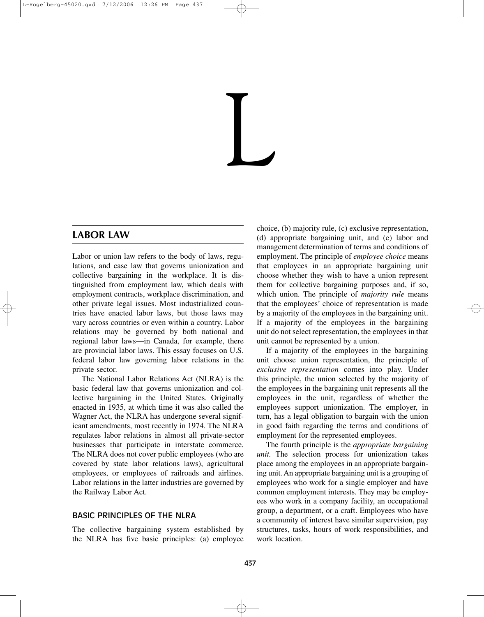# L

# **LABOR LAW**

Labor or union law refers to the body of laws, regulations, and case law that governs unionization and collective bargaining in the workplace. It is distinguished from employment law, which deals with employment contracts, workplace discrimination, and other private legal issues. Most industrialized countries have enacted labor laws, but those laws may vary across countries or even within a country. Labor relations may be governed by both national and regional labor laws—in Canada, for example, there are provincial labor laws. This essay focuses on U.S. federal labor law governing labor relations in the private sector.

The National Labor Relations Act (NLRA) is the basic federal law that governs unionization and collective bargaining in the United States. Originally enacted in 1935, at which time it was also called the Wagner Act, the NLRA has undergone several significant amendments, most recently in 1974. The NLRA regulates labor relations in almost all private-sector businesses that participate in interstate commerce. The NLRA does not cover public employees (who are covered by state labor relations laws), agricultural employees, or employees of railroads and airlines. Labor relations in the latter industries are governed by the Railway Labor Act.

#### BASIC PRINCIPLES OF THE NLRA

The collective bargaining system established by the NLRA has five basic principles: (a) employee choice, (b) majority rule, (c) exclusive representation, (d) appropriate bargaining unit, and (e) labor and management determination of terms and conditions of employment. The principle of *employee choice* means that employees in an appropriate bargaining unit choose whether they wish to have a union represent them for collective bargaining purposes and, if so, which union. The principle of *majority rule* means that the employees' choice of representation is made by a majority of the employees in the bargaining unit. If a majority of the employees in the bargaining unit do not select representation, the employees in that unit cannot be represented by a union.

If a majority of the employees in the bargaining unit choose union representation, the principle of *exclusive representation* comes into play. Under this principle, the union selected by the majority of the employees in the bargaining unit represents all the employees in the unit, regardless of whether the employees support unionization. The employer, in turn, has a legal obligation to bargain with the union in good faith regarding the terms and conditions of employment for the represented employees.

The fourth principle is the *appropriate bargaining unit.* The selection process for unionization takes place among the employees in an appropriate bargaining unit. An appropriate bargaining unit is a grouping of employees who work for a single employer and have common employment interests. They may be employees who work in a company facility, an occupational group, a department, or a craft. Employees who have a community of interest have similar supervision, pay structures, tasks, hours of work responsibilities, and work location.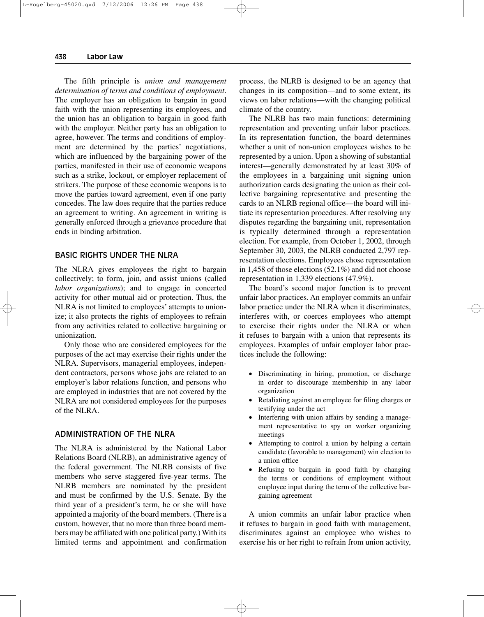#### 438———**Labor Law**

The fifth principle is *union and management determination of terms and conditions of employment*. The employer has an obligation to bargain in good faith with the union representing its employees, and the union has an obligation to bargain in good faith with the employer. Neither party has an obligation to agree, however. The terms and conditions of employment are determined by the parties' negotiations, which are influenced by the bargaining power of the parties, manifested in their use of economic weapons such as a strike, lockout, or employer replacement of strikers. The purpose of these economic weapons is to move the parties toward agreement, even if one party concedes. The law does require that the parties reduce an agreement to writing. An agreement in writing is generally enforced through a grievance procedure that ends in binding arbitration.

#### BASIC RIGHTS UNDER THE NLRA

The NLRA gives employees the right to bargain collectively; to form, join, and assist unions (called *labor organizations*); and to engage in concerted activity for other mutual aid or protection. Thus, the NLRA is not limited to employees' attempts to unionize; it also protects the rights of employees to refrain from any activities related to collective bargaining or unionization.

Only those who are considered employees for the purposes of the act may exercise their rights under the NLRA. Supervisors, managerial employees, independent contractors, persons whose jobs are related to an employer's labor relations function, and persons who are employed in industries that are not covered by the NLRA are not considered employees for the purposes of the NLRA.

#### ADMINISTRATION OF THE NLRA

The NLRA is administered by the National Labor Relations Board (NLRB), an administrative agency of the federal government. The NLRB consists of five members who serve staggered five-year terms. The NLRB members are nominated by the president and must be confirmed by the U.S. Senate. By the third year of a president's term, he or she will have appointed a majority of the board members. (There is a custom, however, that no more than three board members may be affiliated with one political party.) With its limited terms and appointment and confirmation process, the NLRB is designed to be an agency that changes in its composition—and to some extent, its views on labor relations—with the changing political climate of the country.

The NLRB has two main functions: determining representation and preventing unfair labor practices. In its representation function, the board determines whether a unit of non-union employees wishes to be represented by a union. Upon a showing of substantial interest—generally demonstrated by at least 30% of the employees in a bargaining unit signing union authorization cards designating the union as their collective bargaining representative and presenting the cards to an NLRB regional office—the board will initiate its representation procedures. After resolving any disputes regarding the bargaining unit, representation is typically determined through a representation election. For example, from October 1, 2002, through September 30, 2003, the NLRB conducted 2,797 representation elections. Employees chose representation in 1,458 of those elections (52.1%) and did not choose representation in 1,339 elections (47.9%).

The board's second major function is to prevent unfair labor practices. An employer commits an unfair labor practice under the NLRA when it discriminates, interferes with, or coerces employees who attempt to exercise their rights under the NLRA or when it refuses to bargain with a union that represents its employees. Examples of unfair employer labor practices include the following:

- Discriminating in hiring, promotion, or discharge in order to discourage membership in any labor organization
- Retaliating against an employee for filing charges or testifying under the act
- Interfering with union affairs by sending a management representative to spy on worker organizing meetings
- Attempting to control a union by helping a certain candidate (favorable to management) win election to a union office
- Refusing to bargain in good faith by changing the terms or conditions of employment without employee input during the term of the collective bargaining agreement

A union commits an unfair labor practice when it refuses to bargain in good faith with management, discriminates against an employee who wishes to exercise his or her right to refrain from union activity,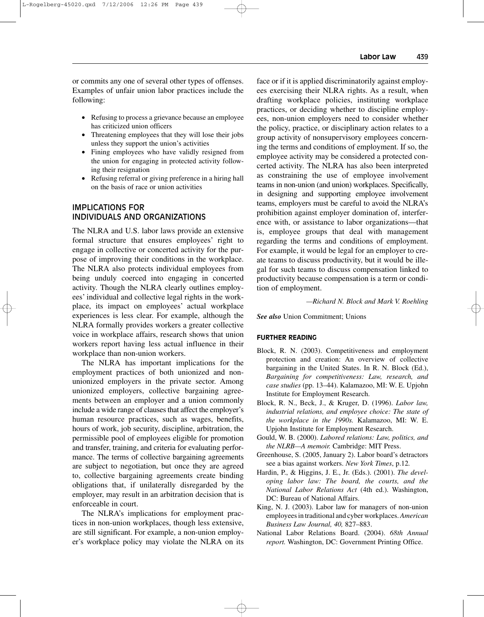L-Rogelberg-45020.qxd 7/12/2006 12:26 PM Page 439

or commits any one of several other types of offenses. Examples of unfair union labor practices include the following:

- Refusing to process a grievance because an employee has criticized union officers
- Threatening employees that they will lose their jobs unless they support the union's activities
- Fining employees who have validly resigned from the union for engaging in protected activity following their resignation
- Refusing referral or giving preference in a hiring hall on the basis of race or union activities

# IMPLICATIONS FOR INDIVIDUALS AND ORGANIZATIONS

The NLRA and U.S. labor laws provide an extensive formal structure that ensures employees' right to engage in collective or concerted activity for the purpose of improving their conditions in the workplace. The NLRA also protects individual employees from being unduly coerced into engaging in concerted activity. Though the NLRA clearly outlines employees' individual and collective legal rights in the workplace, its impact on employees' actual workplace experiences is less clear. For example, although the NLRA formally provides workers a greater collective voice in workplace affairs, research shows that union workers report having less actual influence in their workplace than non-union workers.

The NLRA has important implications for the employment practices of both unionized and nonunionized employers in the private sector. Among unionized employers, collective bargaining agreements between an employer and a union commonly include a wide range of clauses that affect the employer's human resource practices, such as wages, benefits, hours of work, job security, discipline, arbitration, the permissible pool of employees eligible for promotion and transfer, training, and criteria for evaluating performance. The terms of collective bargaining agreements are subject to negotiation, but once they are agreed to, collective bargaining agreements create binding obligations that, if unilaterally disregarded by the employer, may result in an arbitration decision that is enforceable in court.

The NLRA's implications for employment practices in non-union workplaces, though less extensive, are still significant. For example, a non-union employer's workplace policy may violate the NLRA on its face or if it is applied discriminatorily against employees exercising their NLRA rights. As a result, when drafting workplace policies, instituting workplace practices, or deciding whether to discipline employees, non-union employers need to consider whether the policy, practice, or disciplinary action relates to a group activity of nonsupervisory employees concerning the terms and conditions of employment. If so, the employee activity may be considered a protected concerted activity. The NLRA has also been interpreted as constraining the use of employee involvement teams in non-union (and union) workplaces. Specifically, in designing and supporting employee involvement teams, employers must be careful to avoid the NLRA's prohibition against employer domination of, interference with, or assistance to labor organizations—that is, employee groups that deal with management regarding the terms and conditions of employment. For example, it would be legal for an employer to create teams to discuss productivity, but it would be illegal for such teams to discuss compensation linked to productivity because compensation is a term or condition of employment.

*—Richard N. Block and Mark V. Roehling*

*See also* Union Commitment; Unions

#### **FURTHER READING**

- Block, R. N. (2003). Competitiveness and employment protection and creation: An overview of collective bargaining in the United States. In R. N. Block (Ed.), *Bargaining for competitiveness: Law, research, and case studies* (pp. 13–44). Kalamazoo, MI: W. E. Upjohn Institute for Employment Research.
- Block, R. N., Beck, J., & Kruger, D. (1996). *Labor law, industrial relations, and employee choice: The state of the workplace in the 1990s.* Kalamazoo, MI: W. E. Upjohn Institute for Employment Research.
- Gould, W. B. (2000). *Labored relations: Law, politics, and the NLRB—A memoir.* Cambridge: MIT Press.
- Greenhouse, S. (2005, January 2). Labor board's detractors see a bias against workers. *New York Times*, p.12*.*
- Hardin, P., & Higgins, J. E., Jr. (Eds.). (2001). *The developing labor law: The board, the courts, and the National Labor Relations Act* (4th ed.). Washington, DC: Bureau of National Affairs.
- King, N. J. (2003). Labor law for managers of non-union employees in traditional and cyber workplaces.*American Business Law Journal, 40,* 827–883.
- National Labor Relations Board. (2004). *68th Annual report.* Washington, DC: Government Printing Office.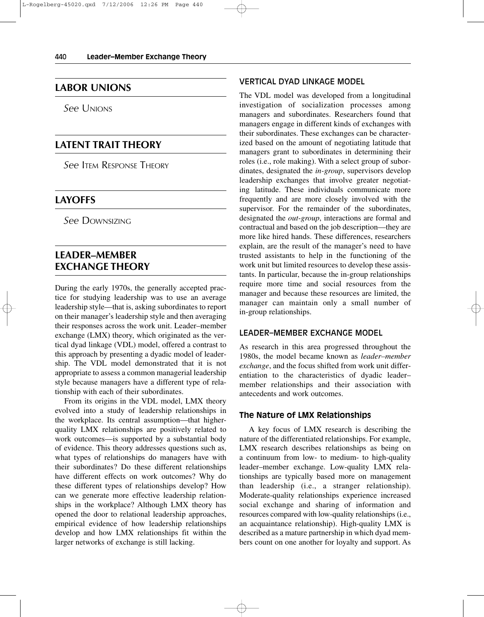# **LABOR UNIONS**

*See* UNIONS

# **LATENT TRAIT THEORY**

**See ITEM RESPONSE THEORY** 

# **LAYOFFS**

*See* DOWNSIZING

# **LEADER–MEMBER EXCHANGE THEORY**

During the early 1970s, the generally accepted practice for studying leadership was to use an average leadership style—that is, asking subordinates to report on their manager's leadership style and then averaging their responses across the work unit. Leader–member exchange (LMX) theory, which originated as the vertical dyad linkage (VDL) model, offered a contrast to this approach by presenting a dyadic model of leadership. The VDL model demonstrated that it is not appropriate to assess a common managerial leadership style because managers have a different type of relationship with each of their subordinates.

From its origins in the VDL model, LMX theory evolved into a study of leadership relationships in the workplace. Its central assumption—that higherquality LMX relationships are positively related to work outcomes—is supported by a substantial body of evidence. This theory addresses questions such as, what types of relationships do managers have with their subordinates? Do these different relationships have different effects on work outcomes? Why do these different types of relationships develop? How can we generate more effective leadership relationships in the workplace? Although LMX theory has opened the door to relational leadership approaches, empirical evidence of how leadership relationships develop and how LMX relationships fit within the larger networks of exchange is still lacking.

# VERTICAL DYAD LINKAGE MODEL

The VDL model was developed from a longitudinal investigation of socialization processes among managers and subordinates. Researchers found that managers engage in different kinds of exchanges with their subordinates. These exchanges can be characterized based on the amount of negotiating latitude that managers grant to subordinates in determining their roles (i.e., role making). With a select group of subordinates, designated the *in-group*, supervisors develop leadership exchanges that involve greater negotiating latitude. These individuals communicate more frequently and are more closely involved with the supervisor. For the remainder of the subordinates, designated the *out-group*, interactions are formal and contractual and based on the job description—they are more like hired hands. These differences, researchers explain, are the result of the manager's need to have trusted assistants to help in the functioning of the work unit but limited resources to develop these assistants. In particular, because the in-group relationships require more time and social resources from the manager and because these resources are limited, the manager can maintain only a small number of in-group relationships.

#### LEADER–MEMBER EXCHANGE MODEL

As research in this area progressed throughout the 1980s, the model became known as *leader–member exchange*, and the focus shifted from work unit differentiation to the characteristics of dyadic leader– member relationships and their association with antecedents and work outcomes.

#### **The Nature of LMX Relationships**

A key focus of LMX research is describing the nature of the differentiated relationships. For example, LMX research describes relationships as being on a continuum from low- to medium- to high-quality leader–member exchange. Low-quality LMX relationships are typically based more on management than leadership (i.e., a stranger relationship). Moderate-quality relationships experience increased social exchange and sharing of information and resources compared with low-quality relationships (i.e., an acquaintance relationship). High-quality LMX is described as a mature partnership in which dyad members count on one another for loyalty and support. As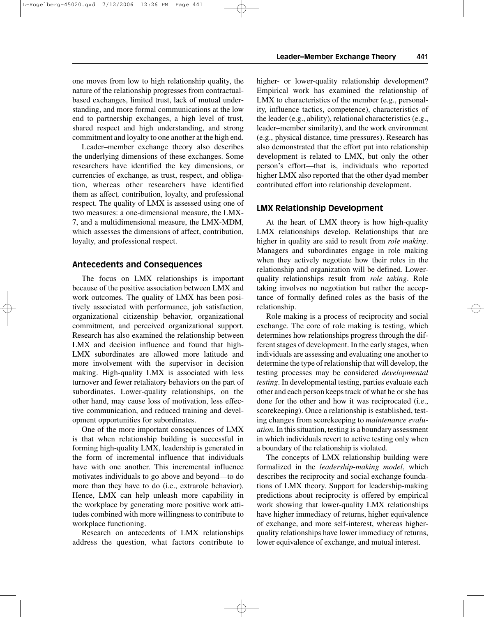**Leader–Member Exchange Theory———**441

one moves from low to high relationship quality, the nature of the relationship progresses from contractualbased exchanges, limited trust, lack of mutual understanding, and more formal communications at the low end to partnership exchanges, a high level of trust, shared respect and high understanding, and strong commitment and loyalty to one another at the high end.

Leader–member exchange theory also describes the underlying dimensions of these exchanges. Some researchers have identified the key dimensions, or currencies of exchange, as trust, respect, and obligation, whereas other researchers have identified them as affect*,* contribution, loyalty, and professional respect. The quality of LMX is assessed using one of two measures: a one-dimensional measure, the LMX-7, and a multidimensional measure, the LMX-MDM, which assesses the dimensions of affect, contribution, loyalty, and professional respect.

#### **Antecedents and Consequences**

The focus on LMX relationships is important because of the positive association between LMX and work outcomes. The quality of LMX has been positively associated with performance, job satisfaction, organizational citizenship behavior, organizational commitment, and perceived organizational support. Research has also examined the relationship between LMX and decision influence and found that high-LMX subordinates are allowed more latitude and more involvement with the supervisor in decision making. High-quality LMX is associated with less turnover and fewer retaliatory behaviors on the part of subordinates. Lower-quality relationships, on the other hand, may cause loss of motivation, less effective communication, and reduced training and development opportunities for subordinates.

One of the more important consequences of LMX is that when relationship building is successful in forming high-quality LMX, leadership is generated in the form of incremental influence that individuals have with one another. This incremental influence motivates individuals to go above and beyond—to do more than they have to do (i.e., extrarole behavior). Hence, LMX can help unleash more capability in the workplace by generating more positive work attitudes combined with more willingness to contribute to workplace functioning.

Research on antecedents of LMX relationships address the question, what factors contribute to higher- or lower-quality relationship development? Empirical work has examined the relationship of LMX to characteristics of the member (e.g., personality, influence tactics, competence), characteristics of the leader (e.g., ability), relational characteristics (e.g., leader–member similarity), and the work environment (e.g., physical distance, time pressures). Research has also demonstrated that the effort put into relationship development is related to LMX, but only the other person's effort—that is, individuals who reported higher LMX also reported that the other dyad member contributed effort into relationship development.

## **LMX Relationship Development**

At the heart of LMX theory is how high-quality LMX relationships develop. Relationships that are higher in quality are said to result from *role making*. Managers and subordinates engage in role making when they actively negotiate how their roles in the relationship and organization will be defined. Lowerquality relationships result from *role taking*. Role taking involves no negotiation but rather the acceptance of formally defined roles as the basis of the relationship.

Role making is a process of reciprocity and social exchange. The core of role making is testing, which determines how relationships progress through the different stages of development. In the early stages, when individuals are assessing and evaluating one another to determine the type of relationship that will develop, the testing processes may be considered *developmental testing*. In developmental testing, parties evaluate each other and each person keeps track of what he or she has done for the other and how it was reciprocated (i.e., scorekeeping). Once a relationship is established, testing changes from scorekeeping to *maintenance evaluation.*In this situation, testing is a boundary assessment in which individuals revert to active testing only when a boundary of the relationship is violated.

The concepts of LMX relationship building were formalized in the *leadership-making model*, which describes the reciprocity and social exchange foundations of LMX theory. Support for leadership-making predictions about reciprocity is offered by empirical work showing that lower-quality LMX relationships have higher immediacy of returns, higher equivalence of exchange, and more self-interest, whereas higherquality relationships have lower immediacy of returns, lower equivalence of exchange, and mutual interest.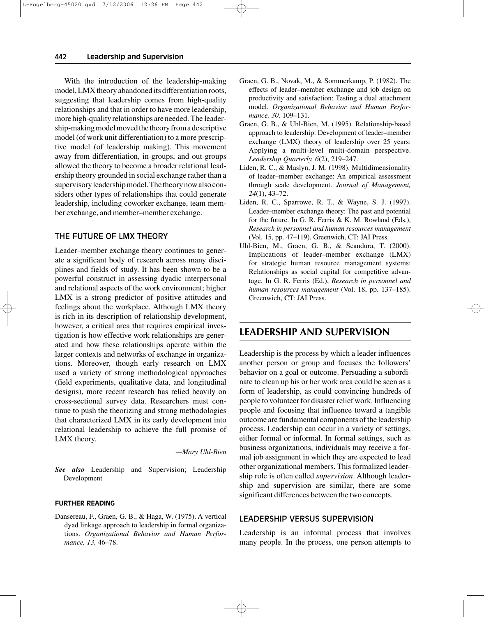#### L-Rogelberg-45020.qxd 7/12/2006 12:26 PM Page 442

#### 442———**Leadership and Supervision**

With the introduction of the leadership-making model, LMX theory abandoned its differentiation roots, suggesting that leadership comes from high-quality relationships and that in order to have more leadership, more high-quality relationships are needed. The leadership-making model moved the theory from a descriptive model (of work unit differentiation) to a more prescriptive model (of leadership making). This movement away from differentiation, in-groups, and out-groups allowed the theory to become a broader relational leadership theory grounded in social exchange rather than a supervisory leadership model. The theory now also considers other types of relationships that could generate leadership, including coworker exchange, team member exchange, and member–member exchange.

## THE FUTURE OF LMX THEORY

Leader–member exchange theory continues to generate a significant body of research across many disciplines and fields of study. It has been shown to be a powerful construct in assessing dyadic interpersonal and relational aspects of the work environment; higher LMX is a strong predictor of positive attitudes and feelings about the workplace. Although LMX theory is rich in its description of relationship development, however, a critical area that requires empirical investigation is how effective work relationships are generated and how these relationships operate within the larger contexts and networks of exchange in organizations. Moreover, though early research on LMX used a variety of strong methodological approaches (field experiments, qualitative data, and longitudinal designs), more recent research has relied heavily on cross-sectional survey data. Researchers must continue to push the theorizing and strong methodologies that characterized LMX in its early development into relational leadership to achieve the full promise of LMX theory.

*—Mary Uhl-Bien*

*See also* Leadership and Supervision; Leadership Development

#### **FURTHER READING**

Dansereau, F., Graen, G. B., & Haga, W. (1975). A vertical dyad linkage approach to leadership in formal organizations. *Organizational Behavior and Human Performance, 13,* 46–78.

- Graen, G. B., Novak, M., & Sommerkamp, P. (1982). The effects of leader–member exchange and job design on productivity and satisfaction: Testing a dual attachment model. *Organizational Behavior and Human Performance, 30,* 109–131.
- Graen, G. B., & Uhl-Bien, M. (1995). Relationship-based approach to leadership: Development of leader–member exchange (LMX) theory of leadership over 25 years: Applying a multi-level multi-domain perspective. *Leadership Quarterly, 6*(2), 219–247.
- Liden, R. C., & Maslyn, J. M. (1998). Multidimensionality of leader–member exchange: An empirical assessment through scale development. *Journal of Management, 24*(1), 43–72.
- Liden, R. C., Sparrowe, R. T., & Wayne, S. J. (1997). Leader–member exchange theory: The past and potential for the future. In G. R. Ferris & K. M. Rowland (Eds.), *Research in personnel and human resources management* (Vol. 15, pp. 47–119). Greenwich, CT: JAI Press.
- Uhl-Bien, M., Graen, G. B., & Scandura, T. (2000). Implications of leader–member exchange (LMX) for strategic human resource management systems: Relationships as social capital for competitive advantage. In G. R. Ferris (Ed.), *Research in personnel and human resources management* (Vol. 18, pp. 137–185). Greenwich, CT: JAI Press.

# **LEADERSHIP AND SUPERVISION**

Leadership is the process by which a leader influences another person or group and focuses the followers' behavior on a goal or outcome. Persuading a subordinate to clean up his or her work area could be seen as a form of leadership, as could convincing hundreds of people to volunteer for disaster relief work. Influencing people and focusing that influence toward a tangible outcome are fundamental components of the leadership process. Leadership can occur in a variety of settings, either formal or informal. In formal settings, such as business organizations, individuals may receive a formal job assignment in which they are expected to lead other organizational members. This formalized leadership role is often called *supervision*. Although leadership and supervision are similar, there are some significant differences between the two concepts.

#### LEADERSHIP VERSUS SUPERVISION

Leadership is an informal process that involves many people. In the process, one person attempts to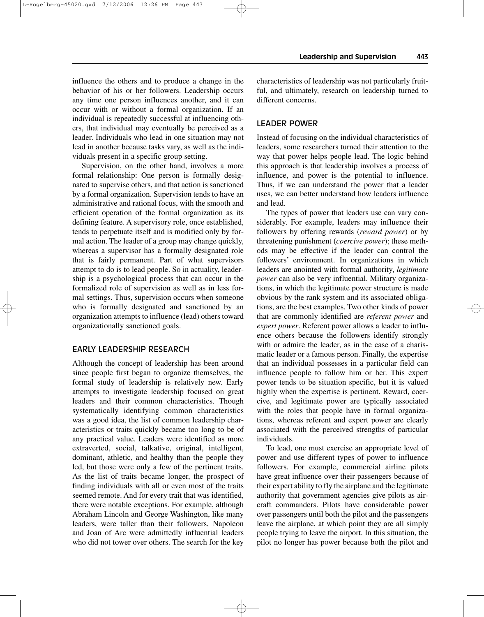influence the others and to produce a change in the behavior of his or her followers. Leadership occurs any time one person influences another, and it can occur with or without a formal organization. If an individual is repeatedly successful at influencing others, that individual may eventually be perceived as a leader. Individuals who lead in one situation may not lead in another because tasks vary, as well as the individuals present in a specific group setting.

Supervision, on the other hand, involves a more formal relationship: One person is formally designated to supervise others, and that action is sanctioned by a formal organization. Supervision tends to have an administrative and rational focus, with the smooth and efficient operation of the formal organization as its defining feature. A supervisory role, once established, tends to perpetuate itself and is modified only by formal action. The leader of a group may change quickly, whereas a supervisor has a formally designated role that is fairly permanent. Part of what supervisors attempt to do is to lead people. So in actuality, leadership is a psychological process that can occur in the formalized role of supervision as well as in less formal settings. Thus, supervision occurs when someone who is formally designated and sanctioned by an organization attempts to influence (lead) others toward organizationally sanctioned goals.

#### EARLY LEADERSHIP RESEARCH

Although the concept of leadership has been around since people first began to organize themselves, the formal study of leadership is relatively new. Early attempts to investigate leadership focused on great leaders and their common characteristics. Though systematically identifying common characteristics was a good idea, the list of common leadership characteristics or traits quickly became too long to be of any practical value. Leaders were identified as more extraverted, social, talkative, original, intelligent, dominant, athletic, and healthy than the people they led, but those were only a few of the pertinent traits. As the list of traits became longer, the prospect of finding individuals with all or even most of the traits seemed remote. And for every trait that was identified, there were notable exceptions. For example, although Abraham Lincoln and George Washington, like many leaders, were taller than their followers, Napoleon and Joan of Arc were admittedly influential leaders who did not tower over others. The search for the key

characteristics of leadership was not particularly fruitful, and ultimately, research on leadership turned to different concerns.

# LEADER POWER

Instead of focusing on the individual characteristics of leaders, some researchers turned their attention to the way that power helps people lead. The logic behind this approach is that leadership involves a process of influence, and power is the potential to influence. Thus, if we can understand the power that a leader uses, we can better understand how leaders influence and lead.

The types of power that leaders use can vary considerably. For example, leaders may influence their followers by offering rewards (*reward power*) or by threatening punishment (*coercive power*); these methods may be effective if the leader can control the followers' environment. In organizations in which leaders are anointed with formal authority, *legitimate power* can also be very influential. Military organizations, in which the legitimate power structure is made obvious by the rank system and its associated obligations, are the best examples. Two other kinds of power that are commonly identified are *referent power* and *expert power*. Referent power allows a leader to influence others because the followers identify strongly with or admire the leader, as in the case of a charismatic leader or a famous person. Finally, the expertise that an individual possesses in a particular field can influence people to follow him or her. This expert power tends to be situation specific, but it is valued highly when the expertise is pertinent. Reward, coercive, and legitimate power are typically associated with the roles that people have in formal organizations, whereas referent and expert power are clearly associated with the perceived strengths of particular individuals.

To lead, one must exercise an appropriate level of power and use different types of power to influence followers. For example, commercial airline pilots have great influence over their passengers because of their expert ability to fly the airplane and the legitimate authority that government agencies give pilots as aircraft commanders. Pilots have considerable power over passengers until both the pilot and the passengers leave the airplane, at which point they are all simply people trying to leave the airport. In this situation, the pilot no longer has power because both the pilot and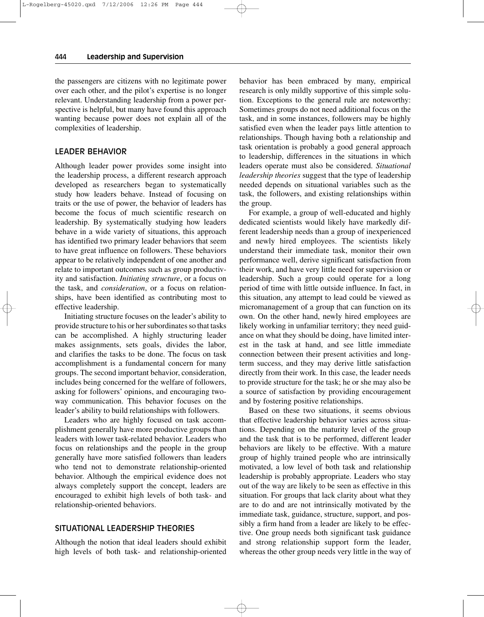#### 444———**Leadership and Supervision**

the passengers are citizens with no legitimate power over each other, and the pilot's expertise is no longer relevant. Understanding leadership from a power perspective is helpful, but many have found this approach wanting because power does not explain all of the complexities of leadership.

#### LEADER BEHAVIOR

Although leader power provides some insight into the leadership process, a different research approach developed as researchers began to systematically study how leaders behave. Instead of focusing on traits or the use of power, the behavior of leaders has become the focus of much scientific research on leadership. By systematically studying how leaders behave in a wide variety of situations, this approach has identified two primary leader behaviors that seem to have great influence on followers. These behaviors appear to be relatively independent of one another and relate to important outcomes such as group productivity and satisfaction. *Initiating structure*, or a focus on the task, and *consideration*, or a focus on relationships, have been identified as contributing most to effective leadership.

Initiating structure focuses on the leader's ability to provide structure to his or her subordinates so that tasks can be accomplished. A highly structuring leader makes assignments, sets goals, divides the labor, and clarifies the tasks to be done. The focus on task accomplishment is a fundamental concern for many groups. The second important behavior, consideration, includes being concerned for the welfare of followers, asking for followers' opinions, and encouraging twoway communication. This behavior focuses on the leader's ability to build relationships with followers.

Leaders who are highly focused on task accomplishment generally have more productive groups than leaders with lower task-related behavior. Leaders who focus on relationships and the people in the group generally have more satisfied followers than leaders who tend not to demonstrate relationship-oriented behavior. Although the empirical evidence does not always completely support the concept, leaders are encouraged to exhibit high levels of both task- and relationship-oriented behaviors.

## SITUATIONAL LEADERSHIP THEORIES

Although the notion that ideal leaders should exhibit high levels of both task- and relationship-oriented behavior has been embraced by many, empirical research is only mildly supportive of this simple solution. Exceptions to the general rule are noteworthy: Sometimes groups do not need additional focus on the task, and in some instances, followers may be highly satisfied even when the leader pays little attention to relationships. Though having both a relationship and task orientation is probably a good general approach to leadership, differences in the situations in which leaders operate must also be considered. *Situational leadership theories* suggest that the type of leadership needed depends on situational variables such as the task, the followers, and existing relationships within the group.

For example, a group of well-educated and highly dedicated scientists would likely have markedly different leadership needs than a group of inexperienced and newly hired employees. The scientists likely understand their immediate task, monitor their own performance well, derive significant satisfaction from their work, and have very little need for supervision or leadership. Such a group could operate for a long period of time with little outside influence. In fact, in this situation, any attempt to lead could be viewed as micromanagement of a group that can function on its own. On the other hand, newly hired employees are likely working in unfamiliar territory; they need guidance on what they should be doing, have limited interest in the task at hand, and see little immediate connection between their present activities and longterm success, and they may derive little satisfaction directly from their work. In this case, the leader needs to provide structure for the task; he or she may also be a source of satisfaction by providing encouragement and by fostering positive relationships.

Based on these two situations, it seems obvious that effective leadership behavior varies across situations. Depending on the maturity level of the group and the task that is to be performed, different leader behaviors are likely to be effective. With a mature group of highly trained people who are intrinsically motivated, a low level of both task and relationship leadership is probably appropriate. Leaders who stay out of the way are likely to be seen as effective in this situation. For groups that lack clarity about what they are to do and are not intrinsically motivated by the immediate task, guidance, structure, support, and possibly a firm hand from a leader are likely to be effective. One group needs both significant task guidance and strong relationship support form the leader, whereas the other group needs very little in the way of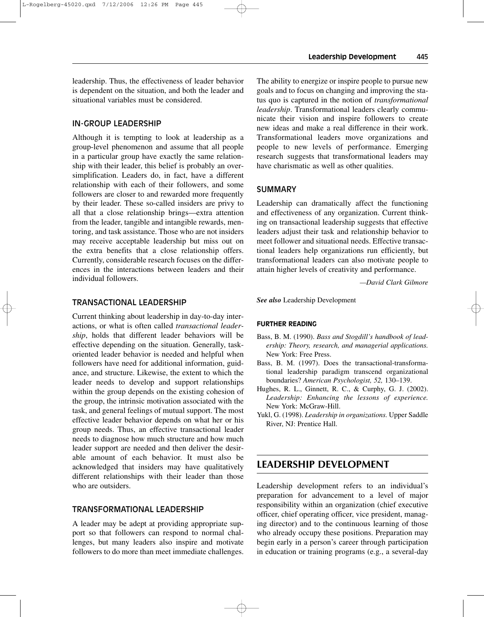leadership. Thus, the effectiveness of leader behavior is dependent on the situation, and both the leader and situational variables must be considered.

## IN-GROUP LEADERSHIP

Although it is tempting to look at leadership as a group-level phenomenon and assume that all people in a particular group have exactly the same relationship with their leader, this belief is probably an oversimplification. Leaders do, in fact, have a different relationship with each of their followers, and some followers are closer to and rewarded more frequently by their leader. These so-called insiders are privy to all that a close relationship brings—extra attention from the leader, tangible and intangible rewards, mentoring, and task assistance. Those who are not insiders may receive acceptable leadership but miss out on the extra benefits that a close relationship offers. Currently, considerable research focuses on the differences in the interactions between leaders and their individual followers.

#### TRANSACTIONAL LEADERSHIP

Current thinking about leadership in day-to-day interactions, or what is often called *transactional leadership*, holds that different leader behaviors will be effective depending on the situation. Generally, taskoriented leader behavior is needed and helpful when followers have need for additional information, guidance, and structure. Likewise, the extent to which the leader needs to develop and support relationships within the group depends on the existing cohesion of the group, the intrinsic motivation associated with the task, and general feelings of mutual support. The most effective leader behavior depends on what her or his group needs. Thus, an effective transactional leader needs to diagnose how much structure and how much leader support are needed and then deliver the desirable amount of each behavior. It must also be acknowledged that insiders may have qualitatively different relationships with their leader than those who are outsiders.

## TRANSFORMATIONAL LEADERSHIP

A leader may be adept at providing appropriate support so that followers can respond to normal challenges, but many leaders also inspire and motivate followers to do more than meet immediate challenges. The ability to energize or inspire people to pursue new goals and to focus on changing and improving the status quo is captured in the notion of *transformational leadership*. Transformational leaders clearly communicate their vision and inspire followers to create new ideas and make a real difference in their work. Transformational leaders move organizations and people to new levels of performance. Emerging research suggests that transformational leaders may have charismatic as well as other qualities.

#### SUMMARY

Leadership can dramatically affect the functioning and effectiveness of any organization. Current thinking on transactional leadership suggests that effective leaders adjust their task and relationship behavior to meet follower and situational needs. Effective transactional leaders help organizations run efficiently, but transformational leaders can also motivate people to attain higher levels of creativity and performance.

*—David Clark Gilmore*

*See also* Leadership Development

#### **FURTHER READING**

- Bass, B. M. (1990). *Bass and Stogdill's handbook of leadership: Theory, research, and managerial applications.* New York: Free Press.
- Bass, B. M. (1997). Does the transactional-transformational leadership paradigm transcend organizational boundaries? *American Psychologist, 52,* 130–139.
- Hughes, R. L., Ginnett, R. C., & Curphy, G. J. (2002). *Leadership: Enhancing the lessons of experience.* New York: McGraw-Hill.
- Yukl, G. (1998). *Leadership in organizations.* Upper Saddle River, NJ: Prentice Hall.

# **LEADERSHIP DEVELOPMENT**

Leadership development refers to an individual's preparation for advancement to a level of major responsibility within an organization (chief executive officer, chief operating officer, vice president, managing director) and to the continuous learning of those who already occupy these positions. Preparation may begin early in a person's career through participation in education or training programs (e.g., a several-day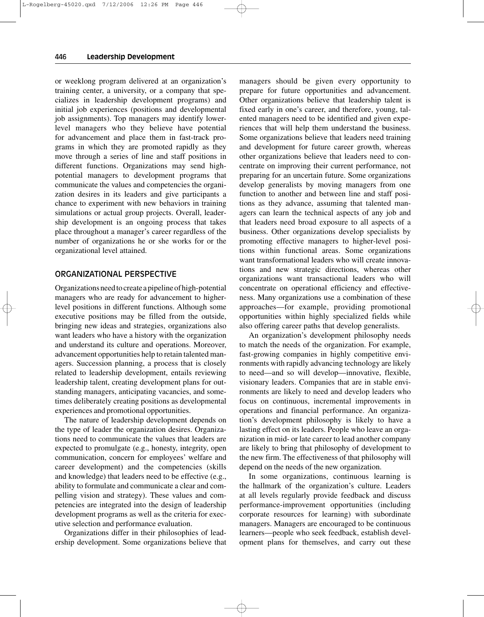#### 446———**Leadership Development**

or weeklong program delivered at an organization's training center, a university, or a company that specializes in leadership development programs) and initial job experiences (positions and developmental job assignments). Top managers may identify lowerlevel managers who they believe have potential for advancement and place them in fast-track programs in which they are promoted rapidly as they move through a series of line and staff positions in different functions. Organizations may send highpotential managers to development programs that communicate the values and competencies the organization desires in its leaders and give participants a chance to experiment with new behaviors in training simulations or actual group projects. Overall, leadership development is an ongoing process that takes place throughout a manager's career regardless of the number of organizations he or she works for or the organizational level attained.

# ORGANIZATIONAL PERSPECTIVE

Organizations need to create a pipeline of high-potential managers who are ready for advancement to higherlevel positions in different functions. Although some executive positions may be filled from the outside, bringing new ideas and strategies, organizations also want leaders who have a history with the organization and understand its culture and operations. Moreover, advancement opportunities help to retain talented managers. Succession planning, a process that is closely related to leadership development, entails reviewing leadership talent, creating development plans for outstanding managers, anticipating vacancies, and sometimes deliberately creating positions as developmental experiences and promotional opportunities.

The nature of leadership development depends on the type of leader the organization desires. Organizations need to communicate the values that leaders are expected to promulgate (e.g., honesty, integrity, open communication, concern for employees' welfare and career development) and the competencies (skills and knowledge) that leaders need to be effective (e.g., ability to formulate and communicate a clear and compelling vision and strategy). These values and competencies are integrated into the design of leadership development programs as well as the criteria for executive selection and performance evaluation.

Organizations differ in their philosophies of leadership development. Some organizations believe that managers should be given every opportunity to prepare for future opportunities and advancement. Other organizations believe that leadership talent is fixed early in one's career, and therefore, young, talented managers need to be identified and given experiences that will help them understand the business. Some organizations believe that leaders need training and development for future career growth, whereas other organizations believe that leaders need to concentrate on improving their current performance, not preparing for an uncertain future. Some organizations develop generalists by moving managers from one function to another and between line and staff positions as they advance, assuming that talented managers can learn the technical aspects of any job and that leaders need broad exposure to all aspects of a business. Other organizations develop specialists by promoting effective managers to higher-level positions within functional areas. Some organizations want transformational leaders who will create innovations and new strategic directions, whereas other organizations want transactional leaders who will concentrate on operational efficiency and effectiveness. Many organizations use a combination of these approaches—for example, providing promotional opportunities within highly specialized fields while also offering career paths that develop generalists.

An organization's development philosophy needs to match the needs of the organization. For example, fast-growing companies in highly competitive environments with rapidly advancing technology are likely to need—and so will develop—innovative, flexible, visionary leaders. Companies that are in stable environments are likely to need and develop leaders who focus on continuous, incremental improvements in operations and financial performance. An organization's development philosophy is likely to have a lasting effect on its leaders. People who leave an organization in mid- or late career to lead another company are likely to bring that philosophy of development to the new firm. The effectiveness of that philosophy will depend on the needs of the new organization.

In some organizations, continuous learning is the hallmark of the organization's culture. Leaders at all levels regularly provide feedback and discuss performance-improvement opportunities (including corporate resources for learning) with subordinate managers. Managers are encouraged to be continuous learners—people who seek feedback, establish development plans for themselves, and carry out these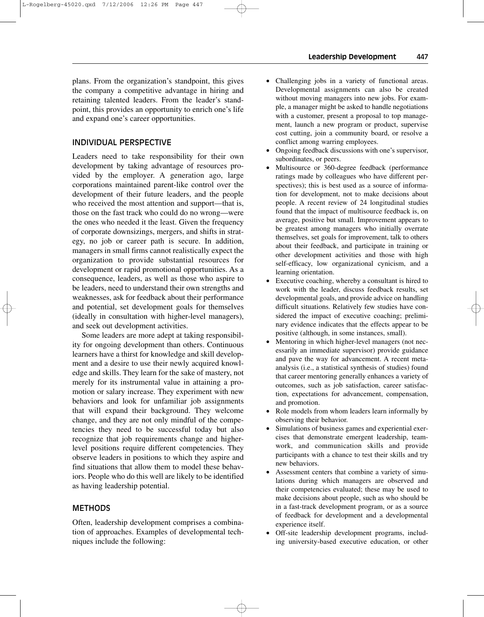#### Leadership Development<sub>447</sub>

plans. From the organization's standpoint, this gives the company a competitive advantage in hiring and retaining talented leaders. From the leader's standpoint, this provides an opportunity to enrich one's life and expand one's career opportunities.

## INDIVIDUAL PERSPECTIVE

Leaders need to take responsibility for their own development by taking advantage of resources provided by the employer. A generation ago, large corporations maintained parent-like control over the development of their future leaders, and the people who received the most attention and support—that is, those on the fast track who could do no wrong—were the ones who needed it the least. Given the frequency of corporate downsizings, mergers, and shifts in strategy, no job or career path is secure. In addition, managers in small firms cannot realistically expect the organization to provide substantial resources for development or rapid promotional opportunities. As a consequence, leaders, as well as those who aspire to be leaders, need to understand their own strengths and weaknesses, ask for feedback about their performance and potential, set development goals for themselves (ideally in consultation with higher-level managers), and seek out development activities.

Some leaders are more adept at taking responsibility for ongoing development than others. Continuous learners have a thirst for knowledge and skill development and a desire to use their newly acquired knowledge and skills. They learn for the sake of mastery, not merely for its instrumental value in attaining a promotion or salary increase. They experiment with new behaviors and look for unfamiliar job assignments that will expand their background. They welcome change, and they are not only mindful of the competencies they need to be successful today but also recognize that job requirements change and higherlevel positions require different competencies. They observe leaders in positions to which they aspire and find situations that allow them to model these behaviors. People who do this well are likely to be identified as having leadership potential.

## **METHODS**

Often, leadership development comprises a combination of approaches. Examples of developmental techniques include the following:

- Challenging jobs in a variety of functional areas. Developmental assignments can also be created without moving managers into new jobs. For example, a manager might be asked to handle negotiations with a customer, present a proposal to top management, launch a new program or product, supervise cost cutting, join a community board, or resolve a conflict among warring employees.
- Ongoing feedback discussions with one's supervisor, subordinates, or peers.
- Multisource or 360-degree feedback (performance ratings made by colleagues who have different perspectives); this is best used as a source of information for development, not to make decisions about people. A recent review of 24 longitudinal studies found that the impact of multisource feedback is, on average, positive but small. Improvement appears to be greatest among managers who initially overrate themselves, set goals for improvement, talk to others about their feedback, and participate in training or other development activities and those with high self-efficacy, low organizational cynicism, and a learning orientation.
- Executive coaching, whereby a consultant is hired to work with the leader, discuss feedback results, set developmental goals, and provide advice on handling difficult situations. Relatively few studies have considered the impact of executive coaching; preliminary evidence indicates that the effects appear to be positive (although, in some instances, small).
- Mentoring in which higher-level managers (not necessarily an immediate supervisor) provide guidance and pave the way for advancement. A recent metaanalysis (i.e., a statistical synthesis of studies) found that career mentoring generally enhances a variety of outcomes, such as job satisfaction, career satisfaction, expectations for advancement, compensation, and promotion.
- Role models from whom leaders learn informally by observing their behavior.
- Simulations of business games and experiential exercises that demonstrate emergent leadership, teamwork, and communication skills and provide participants with a chance to test their skills and try new behaviors.
- Assessment centers that combine a variety of simulations during which managers are observed and their competencies evaluated; these may be used to make decisions about people, such as who should be in a fast-track development program, or as a source of feedback for development and a developmental experience itself.
- Off-site leadership development programs, including university-based executive education, or other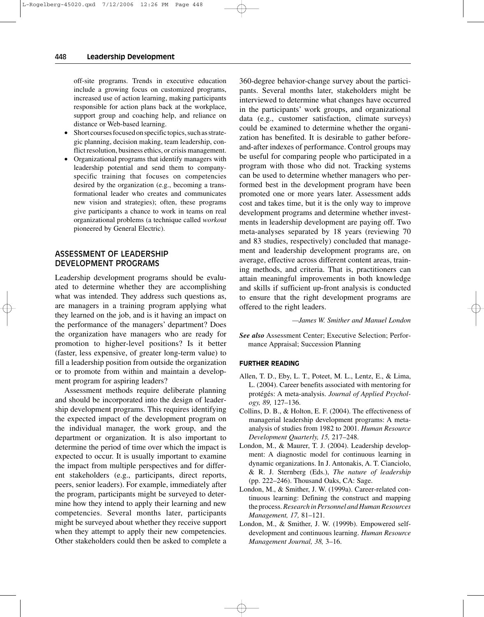#### 448———**Leadership Development**

off-site programs. Trends in executive education include a growing focus on customized programs, increased use of action learning, making participants responsible for action plans back at the workplace, support group and coaching help, and reliance on distance or Web-based learning.

- Short courses focused on specific topics, such as strategic planning, decision making, team leadership, conflict resolution, business ethics, or crisis management.
- Organizational programs that identify managers with leadership potential and send them to companyspecific training that focuses on competencies desired by the organization (e.g., becoming a transformational leader who creates and communicates new vision and strategies); often, these programs give participants a chance to work in teams on real organizational problems (a technique called *workout* pioneered by General Electric).

# ASSESSMENT OF LEADERSHIP DEVELOPMENT PROGRAMS

Leadership development programs should be evaluated to determine whether they are accomplishing what was intended. They address such questions as, are managers in a training program applying what they learned on the job, and is it having an impact on the performance of the managers' department? Does the organization have managers who are ready for promotion to higher-level positions? Is it better (faster, less expensive, of greater long-term value) to fill a leadership position from outside the organization or to promote from within and maintain a development program for aspiring leaders?

Assessment methods require deliberate planning and should be incorporated into the design of leadership development programs. This requires identifying the expected impact of the development program on the individual manager, the work group, and the department or organization. It is also important to determine the period of time over which the impact is expected to occur. It is usually important to examine the impact from multiple perspectives and for different stakeholders (e.g., participants, direct reports, peers, senior leaders). For example, immediately after the program, participants might be surveyed to determine how they intend to apply their learning and new competencies. Several months later, participants might be surveyed about whether they receive support when they attempt to apply their new competencies. Other stakeholders could then be asked to complete a 360-degree behavior-change survey about the participants. Several months later, stakeholders might be interviewed to determine what changes have occurred in the participants' work groups, and organizational data (e.g., customer satisfaction, climate surveys) could be examined to determine whether the organization has benefited. It is desirable to gather beforeand-after indexes of performance. Control groups may be useful for comparing people who participated in a program with those who did not. Tracking systems can be used to determine whether managers who performed best in the development program have been promoted one or more years later. Assessment adds cost and takes time, but it is the only way to improve development programs and determine whether investments in leadership development are paying off. Two meta-analyses separated by 18 years (reviewing 70 and 83 studies, respectively) concluded that management and leadership development programs are, on average, effective across different content areas, training methods, and criteria. That is, practitioners can attain meaningful improvements in both knowledge and skills if sufficient up-front analysis is conducted to ensure that the right development programs are offered to the right leaders.

#### *—James W. Smither and Manuel London*

*See also* Assessment Center; Executive Selection; Performance Appraisal; Succession Planning

#### **FURTHER READING**

- Allen, T. D., Eby, L. T., Poteet, M. L., Lentz, E., & Lima, L. (2004). Career benefits associated with mentoring for protégés: A meta-analysis. *Journal of Applied Psychology, 89,* 127–136.
- Collins, D. B., & Holton, E. F. (2004). The effectiveness of managerial leadership development programs: A metaanalysis of studies from 1982 to 2001. *Human Resource Development Quarterly, 15,* 217–248.
- London, M., & Maurer, T. J. (2004). Leadership development: A diagnostic model for continuous learning in dynamic organizations. In J. Antonakis, A. T. Cianciolo, & R. J. Sternberg (Eds.), *The nature of leadership* (pp. 222–246). Thousand Oaks, CA: Sage.
- London, M., & Smither, J. W. (1999a). Career-related continuous learning: Defining the construct and mapping the process.*Research in Personnel and Human Resources Management, 17,* 81–121.
- London, M., & Smither, J. W. (1999b). Empowered selfdevelopment and continuous learning. *Human Resource Management Journal, 38,* 3–16.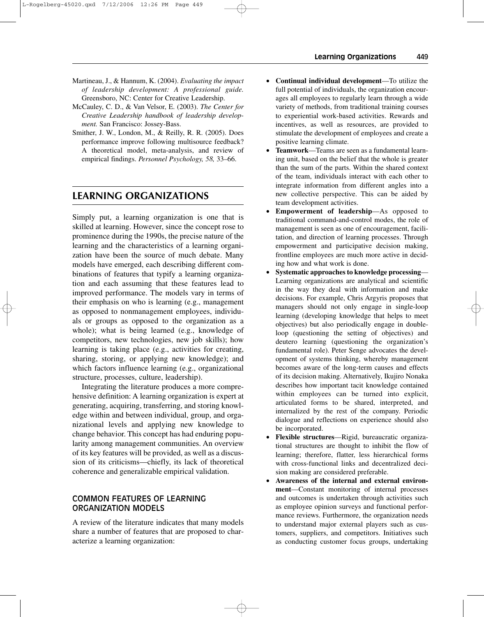- Martineau, J., & Hannum, K. (2004). *Evaluating the impact of leadership development: A professional guide.* Greensboro, NC: Center for Creative Leadership.
- McCauley, C. D., & Van Velsor, E. (2003). *The Center for Creative Leadership handbook of leadership development.* San Francisco: Jossey-Bass.
- Smither, J. W., London, M., & Reilly, R. R. (2005). Does performance improve following multisource feedback? A theoretical model, meta-analysis, and review of empirical findings. *Personnel Psychology, 58,* 33–66.

# **LEARNING ORGANIZATIONS**

Simply put, a learning organization is one that is skilled at learning. However, since the concept rose to prominence during the 1990s, the precise nature of the learning and the characteristics of a learning organization have been the source of much debate. Many models have emerged, each describing different combinations of features that typify a learning organization and each assuming that these features lead to improved performance. The models vary in terms of their emphasis on who is learning (e.g., management as opposed to nonmanagement employees, individuals or groups as opposed to the organization as a whole); what is being learned (e.g., knowledge of competitors, new technologies, new job skills); how learning is taking place (e.g., activities for creating, sharing, storing, or applying new knowledge); and which factors influence learning (e.g., organizational structure, processes, culture, leadership).

Integrating the literature produces a more comprehensive definition: A learning organization is expert at generating, acquiring, transferring, and storing knowledge within and between individual, group, and organizational levels and applying new knowledge to change behavior. This concept has had enduring popularity among management communities. An overview of its key features will be provided, as well as a discussion of its criticisms—chiefly, its lack of theoretical coherence and generalizable empirical validation.

# COMMON FEATURES OF LEARNING ORGANIZATION MODELS

A review of the literature indicates that many models share a number of features that are proposed to characterize a learning organization:

- **Continual individual development**—To utilize the full potential of individuals, the organization encourages all employees to regularly learn through a wide variety of methods, from traditional training courses to experiential work-based activities. Rewards and incentives, as well as resources, are provided to stimulate the development of employees and create a positive learning climate.
- **Teamwork**—Teams are seen as a fundamental learning unit, based on the belief that the whole is greater than the sum of the parts. Within the shared context of the team, individuals interact with each other to integrate information from different angles into a new collective perspective. This can be aided by team development activities.
- **Empowerment of leadership**—As opposed to traditional command-and-control modes, the role of management is seen as one of encouragement, facilitation, and direction of learning processes. Through empowerment and participative decision making, frontline employees are much more active in deciding how and what work is done.
- **Systematic approaches to knowledge processing** Learning organizations are analytical and scientific in the way they deal with information and make decisions. For example, Chris Argyris proposes that managers should not only engage in single-loop learning (developing knowledge that helps to meet objectives) but also periodically engage in doubleloop (questioning the setting of objectives) and deutero learning (questioning the organization's fundamental role). Peter Senge advocates the development of systems thinking, whereby management becomes aware of the long-term causes and effects of its decision making. Alternatively, Ikujiro Nonaka describes how important tacit knowledge contained within employees can be turned into explicit, articulated forms to be shared, interpreted, and internalized by the rest of the company. Periodic dialogue and reflections on experience should also be incorporated.
- **Flexible structures**—Rigid, bureaucratic organizational structures are thought to inhibit the flow of learning; therefore, flatter, less hierarchical forms with cross-functional links and decentralized decision making are considered preferable.
- Awareness of the internal and external environ**ment**—Constant monitoring of internal processes and outcomes is undertaken through activities such as employee opinion surveys and functional performance reviews. Furthermore, the organization needs to understand major external players such as customers, suppliers, and competitors. Initiatives such as conducting customer focus groups, undertaking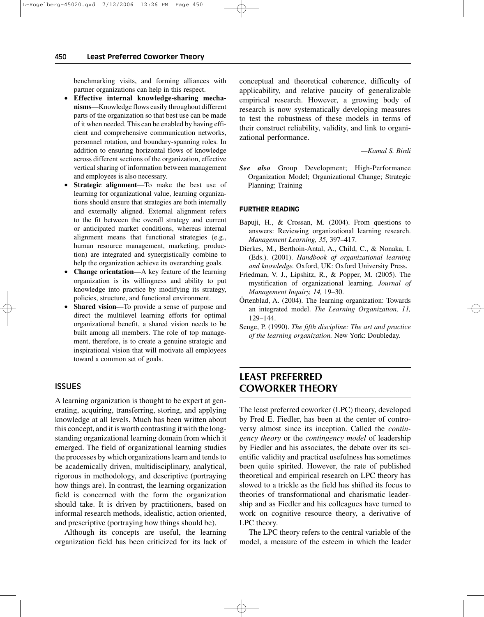#### 450———**Least Preferred Coworker Theory**

benchmarking visits, and forming alliances with partner organizations can help in this respect.

- **Effective internal knowledge-sharing mechanisms**—Knowledge flows easily throughout different parts of the organization so that best use can be made of it when needed. This can be enabled by having efficient and comprehensive communication networks, personnel rotation, and boundary-spanning roles. In addition to ensuring horizontal flows of knowledge across different sections of the organization, effective vertical sharing of information between management and employees is also necessary.
- **Strategic alignment**—To make the best use of learning for organizational value, learning organizations should ensure that strategies are both internally and externally aligned. External alignment refers to the fit between the overall strategy and current or anticipated market conditions, whereas internal alignment means that functional strategies (e.g., human resource management, marketing, production) are integrated and synergistically combine to help the organization achieve its overarching goals.
- **Change orientation—A** key feature of the learning organization is its willingness and ability to put knowledge into practice by modifying its strategy, policies, structure, and functional environment.
- **Shared vision—To provide a sense of purpose and** direct the multilevel learning efforts for optimal organizational benefit, a shared vision needs to be built among all members. The role of top management, therefore, is to create a genuine strategic and inspirational vision that will motivate all employees toward a common set of goals.

#### ISSUES

A learning organization is thought to be expert at generating, acquiring, transferring, storing, and applying knowledge at all levels. Much has been written about this concept, and it is worth contrasting it with the longstanding organizational learning domain from which it emerged. The field of organizational learning studies the processes by which organizations learn and tends to be academically driven, multidisciplinary, analytical, rigorous in methodology, and descriptive (portraying how things are). In contrast, the learning organization field is concerned with the form the organization should take. It is driven by practitioners, based on informal research methods, idealistic, action oriented, and prescriptive (portraying how things should be).

Although its concepts are useful, the learning organization field has been criticized for its lack of conceptual and theoretical coherence, difficulty of applicability, and relative paucity of generalizable empirical research. However, a growing body of research is now systematically developing measures to test the robustness of these models in terms of their construct reliability, validity, and link to organizational performance.

*—Kamal S. Birdi*

*See also* Group Development; High-Performance Organization Model; Organizational Change; Strategic Planning; Training

#### **FURTHER READING**

- Bapuji, H., & Crossan, M. (2004). From questions to answers: Reviewing organizational learning research. *Management Learning, 35,* 397–417.
- Dierkes, M., Berthoin-Antal, A., Child, C., & Nonaka, I. (Eds.). (2001). *Handbook of organizational learning and knowledge.* Oxford, UK: Oxford University Press.
- Friedman, V. J., Lipshitz, R., & Popper, M. (2005). The mystification of organizational learning. *Journal of Management Inquiry, 14,* 19–30.
- Örtenblad, A. (2004). The learning organization: Towards an integrated model. *The Learning Organization, 11,* 129–144.
- Senge, P. (1990). *The fifth discipline: The art and practice of the learning organization.* New York: Doubleday.

# **LEAST PREFERRED COWORKER THEORY**

The least preferred coworker (LPC) theory, developed by Fred E. Fiedler, has been at the center of controversy almost since its inception. Called the *contingency theory* or the *contingency model* of leadership by Fiedler and his associates, the debate over its scientific validity and practical usefulness has sometimes been quite spirited. However, the rate of published theoretical and empirical research on LPC theory has slowed to a trickle as the field has shifted its focus to theories of transformational and charismatic leadership and as Fiedler and his colleagues have turned to work on cognitive resource theory, a derivative of LPC theory.

The LPC theory refers to the central variable of the model, a measure of the esteem in which the leader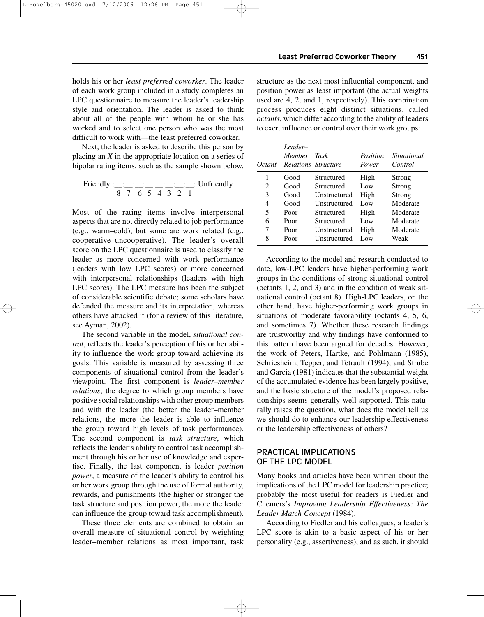holds his or her *least preferred coworker*. The leader of each work group included in a study completes an LPC questionnaire to measure the leader's leadership style and orientation. The leader is asked to think about all of the people with whom he or she has worked and to select one person who was the most difficult to work with—the least preferred coworker.

Next, the leader is asked to describe this person by placing an *X* in the appropriate location on a series of bipolar rating items, such as the sample shown below.

$$
\begin{array}{cccc}\n\text{Friendly:} & \underbrace{\cdot \cdot \cdot}_{8 \quad 7 \quad 6 \quad 5 \quad 4 \quad 3 \quad 2 \quad 1} & \text{Unfortunately}\n\end{array}
$$

Most of the rating items involve interpersonal aspects that are not directly related to job performance (e.g., warm–cold), but some are work related (e.g., cooperative–uncooperative). The leader's overall score on the LPC questionnaire is used to classify the leader as more concerned with work performance (leaders with low LPC scores) or more concerned with interpersonal relationships (leaders with high LPC scores). The LPC measure has been the subject of considerable scientific debate; some scholars have defended the measure and its interpretation, whereas others have attacked it (for a review of this literature, see Ayman, 2002).

The second variable in the model, *situational control*, reflects the leader's perception of his or her ability to influence the work group toward achieving its goals. This variable is measured by assessing three components of situational control from the leader's viewpoint. The first component is *leader–member relations*, the degree to which group members have positive social relationships with other group members and with the leader (the better the leader–member relations, the more the leader is able to influence the group toward high levels of task performance). The second component is *task structure*, which reflects the leader's ability to control task accomplishment through his or her use of knowledge and expertise. Finally, the last component is leader *position power*, a measure of the leader's ability to control his or her work group through the use of formal authority, rewards, and punishments (the higher or stronger the task structure and position power, the more the leader can influence the group toward task accomplishment).

These three elements are combined to obtain an overall measure of situational control by weighting leader–member relations as most important, task structure as the next most influential component, and position power as least important (the actual weights used are 4, 2, and 1, respectively). This combination process produces eight distinct situations, called *octants*, which differ according to the ability of leaders to exert influence or control over their work groups:

| Octant | $Leader-$<br>Member Task<br><b>Relations</b> Structure |              | Position<br>Power | Situational<br>Control |
|--------|--------------------------------------------------------|--------------|-------------------|------------------------|
| 1      | Good                                                   | Structured   | High              | Strong                 |
| 2      | Good                                                   | Structured   | Low               | Strong                 |
| 3      | Good                                                   | Unstructured | High              | Strong                 |
| 4      | Good                                                   | Unstructured | Low.              | Moderate               |
| 5      | Poor                                                   | Structured   | High              | Moderate               |
| 6      | Poor                                                   | Structured   | Low               | Moderate               |
| 7      | Poor                                                   | Unstructured | High              | Moderate               |
| 8      | Poor                                                   | Unstructured | Low               | Weak                   |

According to the model and research conducted to date, low-LPC leaders have higher-performing work groups in the conditions of strong situational control (octants 1, 2, and 3) and in the condition of weak situational control (octant 8). High-LPC leaders, on the other hand, have higher-performing work groups in situations of moderate favorability (octants 4, 5, 6, and sometimes 7). Whether these research findings are trustworthy and why findings have conformed to this pattern have been argued for decades. However, the work of Peters, Hartke, and Pohlmann (1985), Schriesheim, Tepper, and Tetrault (1994), and Strube and Garcia (1981) indicates that the substantial weight of the accumulated evidence has been largely positive, and the basic structure of the model's proposed relationships seems generally well supported. This naturally raises the question, what does the model tell us we should do to enhance our leadership effectiveness or the leadership effectiveness of others?

## PRACTICAL IMPLICATIONS OF THE LPC MODEL

Many books and articles have been written about the implications of the LPC model for leadership practice; probably the most useful for readers is Fiedler and Chemers's *Improving Leadership Effectiveness: The Leader Match Concept* (1984).

According to Fiedler and his colleagues, a leader's LPC score is akin to a basic aspect of his or her personality (e.g., assertiveness), and as such, it should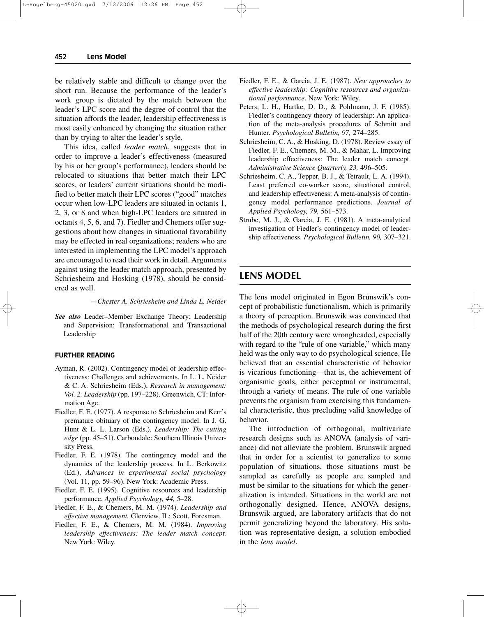#### 452———**Lens Model**

be relatively stable and difficult to change over the short run. Because the performance of the leader's work group is dictated by the match between the leader's LPC score and the degree of control that the situation affords the leader, leadership effectiveness is most easily enhanced by changing the situation rather than by trying to alter the leader's style.

This idea, called *leader match*, suggests that in order to improve a leader's effectiveness (measured by his or her group's performance), leaders should be relocated to situations that better match their LPC scores, or leaders' current situations should be modified to better match their LPC scores ("good" matches occur when low-LPC leaders are situated in octants 1, 2, 3, or 8 and when high-LPC leaders are situated in octants 4, 5, 6, and 7). Fiedler and Chemers offer suggestions about how changes in situational favorability may be effected in real organizations; readers who are interested in implementing the LPC model's approach are encouraged to read their work in detail. Arguments against using the leader match approach, presented by Schriesheim and Hosking (1978), should be considered as well.

*—Chester A. Schriesheim and Linda L. Neider*

*See also* Leader–Member Exchange Theory; Leadership and Supervision; Transformational and Transactional Leadership

#### **FURTHER READING**

- Ayman, R. (2002). Contingency model of leadership effectiveness: Challenges and achievements. In L. L. Neider & C. A. Schriesheim (Eds.), *Research in management: Vol. 2. Leadership* (pp. 197–228). Greenwich, CT: Information Age.
- Fiedler, F. E. (1977). A response to Schriesheim and Kerr's premature obituary of the contingency model. In J. G. Hunt & L. L. Larson (Eds.), *Leadership: The cutting edge* (pp. 45–51). Carbondale: Southern Illinois University Press.
- Fiedler, F. E. (1978). The contingency model and the dynamics of the leadership process. In L. Berkowitz (Ed.), *Advances in experimental social psychology* (Vol. 11, pp. 59–96). New York: Academic Press.
- Fiedler, F. E. (1995). Cognitive resources and leadership performance. *Applied Psychology, 44,* 5–28.
- Fiedler, F. E., & Chemers, M. M. (1974). *Leadership and effective management.* Glenview, IL: Scott, Foresman.
- Fiedler, F. E., & Chemers, M. M. (1984). *Improving leadership effectiveness: The leader match concept.* New York: Wiley.
- Fiedler, F. E., & Garcia, J. E. (1987). *New approaches to effective leadership: Cognitive resources and organizational performance*. New York: Wiley.
- Peters, L. H., Hartke, D. D., & Pohlmann, J. F. (1985). Fiedler's contingency theory of leadership: An application of the meta-analysis procedures of Schmitt and Hunter. *Psychological Bulletin, 97,* 274–285.
- Schriesheim, C. A., & Hosking, D. (1978). Review essay of Fiedler, F. E., Chemers, M. M., & Mahar, L. Improving leadership effectiveness: The leader match concept. *Administrative Science Quarterly, 23,* 496–505.
- Schriesheim, C. A., Tepper, B. J., & Tetrault, L. A. (1994). Least preferred co-worker score, situational control, and leadership effectiveness: A meta-analysis of contingency model performance predictions. *Journal of Applied Psychology, 79,* 561–573.
- Strube, M. J., & Garcia, J. E. (1981). A meta-analytical investigation of Fiedler's contingency model of leadership effectiveness. *Psychological Bulletin, 90,* 307–321.

# **LENS MODEL**

The lens model originated in Egon Brunswik's concept of probabilistic functionalism, which is primarily a theory of perception. Brunswik was convinced that the methods of psychological research during the first half of the 20th century were wrongheaded, especially with regard to the "rule of one variable," which many held was the only way to do psychological science. He believed that an essential characteristic of behavior is vicarious functioning—that is, the achievement of organismic goals, either perceptual or instrumental, through a variety of means. The rule of one variable prevents the organism from exercising this fundamental characteristic, thus precluding valid knowledge of behavior.

The introduction of orthogonal, multivariate research designs such as ANOVA (analysis of variance) did not alleviate the problem. Brunswik argued that in order for a scientist to generalize to some population of situations, those situations must be sampled as carefully as people are sampled and must be similar to the situations for which the generalization is intended. Situations in the world are not orthogonally designed. Hence, ANOVA designs, Brunswik argued, are laboratory artifacts that do not permit generalizing beyond the laboratory. His solution was representative design, a solution embodied in the *lens model*.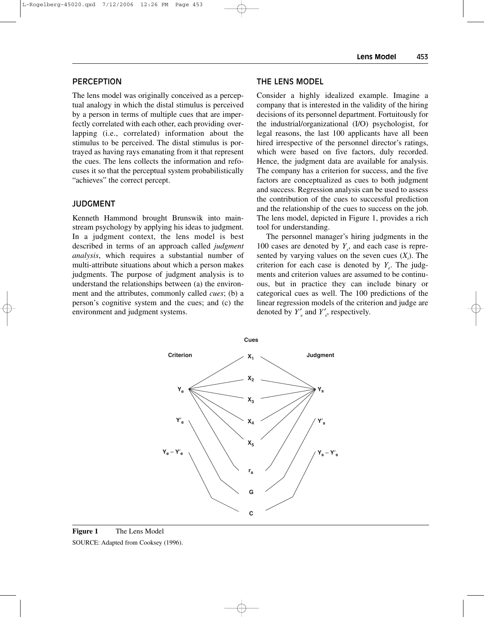#### L-Rogelberg-45020.qxd 7/12/2006 12:26 PM Page 453

# PERCEPTION

The lens model was originally conceived as a perceptual analogy in which the distal stimulus is perceived by a person in terms of multiple cues that are imperfectly correlated with each other, each providing overlapping (i.e., correlated) information about the stimulus to be perceived. The distal stimulus is portrayed as having rays emanating from it that represent the cues. The lens collects the information and refocuses it so that the perceptual system probabilistically "achieves" the correct percept.

#### JUDGMENT

Kenneth Hammond brought Brunswik into mainstream psychology by applying his ideas to judgment. In a judgment context, the lens model is best described in terms of an approach called *judgment analysis*, which requires a substantial number of multi-attribute situations about which a person makes judgments. The purpose of judgment analysis is to understand the relationships between (a) the environment and the attributes, commonly called *cues*; (b) a person's cognitive system and the cues; and (c) the environment and judgment systems.

#### THE LENS MODEL

Consider a highly idealized example. Imagine a company that is interested in the validity of the hiring decisions of its personnel department. Fortuitously for the industrial/organizational (I/O) psychologist, for legal reasons, the last 100 applicants have all been hired irrespective of the personnel director's ratings, which were based on five factors, duly recorded. Hence, the judgment data are available for analysis. The company has a criterion for success, and the five factors are conceptualized as cues to both judgment and success. Regression analysis can be used to assess the contribution of the cues to successful prediction and the relationship of the cues to success on the job. The lens model, depicted in Figure 1, provides a rich tool for understanding.

The personnel manager's hiring judgments in the 100 cases are denoted by  $Y_s$ , and each case is represented by varying values on the seven cues  $(X_i)$ . The criterion for each case is denoted by  $Y_e$ . The judgments and criterion values are assumed to be continuous, but in practice they can include binary or categorical cues as well. The 100 predictions of the linear regression models of the criterion and judge are denoted by *Y*′*<sup>e</sup>* and *Y*′*<sup>s</sup>* , respectively.



**Figure 1** The Lens Model SOURCE: Adapted from Cooksey (1996).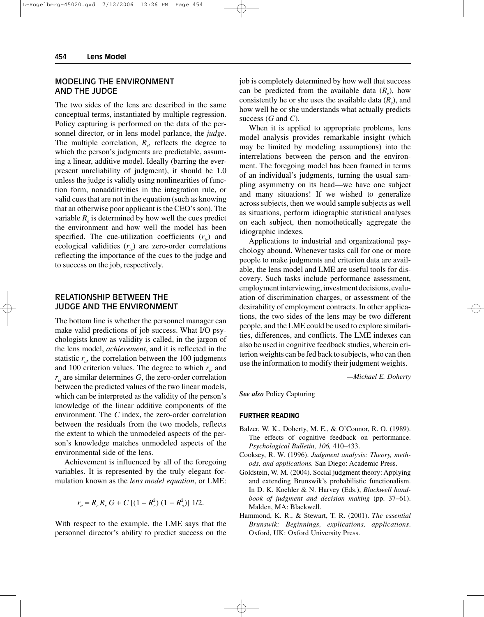#### 454———**Lens Model**

# MODELING THE ENVIRONMENT AND THE JUDGE

L-Rogelberg-45020.qxd 7/12/2006 12:26 PM Page 454

The two sides of the lens are described in the same conceptual terms, instantiated by multiple regression. Policy capturing is performed on the data of the personnel director, or in lens model parlance, the *judge*. The multiple correlation,  $R_s$ , reflects the degree to which the person's judgments are predictable, assuming a linear, additive model. Ideally (barring the everpresent unreliability of judgment), it should be 1.0 unless the judge is validly using nonlinearities of function form, nonadditivities in the integration rule, or valid cues that are not in the equation (such as knowing that an otherwise poor applicant is the CEO's son). The variable  $R_{\ell}$  is determined by how well the cues predict the environment and how well the model has been specified. The cue-utilization coefficients  $(r_i)$  and ecological validities  $(r_i)$  are zero-order correlations reflecting the importance of the cues to the judge and to success on the job, respectively.

# RELATIONSHIP BETWEEN THE JUDGE AND THE ENVIRONMENT

The bottom line is whether the personnel manager can make valid predictions of job success. What I/O psychologists know as validity is called, in the jargon of the lens model, *achievement*, and it is reflected in the statistic  $r_a$ , the correlation between the 100 judgments and 100 criterion values. The degree to which  $r_{i\rho}$  and  $r<sub>i</sub>$  are similar determines *G*, the zero-order correlation between the predicted values of the two linear models, which can be interpreted as the validity of the person's knowledge of the linear additive components of the environment. The *C* index, the zero-order correlation between the residuals from the two models, reflects the extent to which the unmodeled aspects of the person's knowledge matches unmodeled aspects of the environmental side of the lens.

Achievement is influenced by all of the foregoing variables. It is represented by the truly elegant formulation known as the *lens model equation*, or LME:

$$
r_a = R_e R_s G + C [(1 - R_e^2) (1 - R_s^2)] 1/2.
$$

With respect to the example, the LME says that the personnel director's ability to predict success on the

job is completely determined by how well that success can be predicted from the available data  $(R_e)$ , how consistently he or she uses the available data  $(R<sub>s</sub>)$ , and how well he or she understands what actually predicts success (*G* and *C*).

When it is applied to appropriate problems, lens model analysis provides remarkable insight (which may be limited by modeling assumptions) into the interrelations between the person and the environment. The foregoing model has been framed in terms of an individual's judgments, turning the usual sampling asymmetry on its head—we have one subject and many situations! If we wished to generalize across subjects, then we would sample subjects as well as situations, perform idiographic statistical analyses on each subject, then nomothetically aggregate the idiographic indexes.

Applications to industrial and organizational psychology abound. Whenever tasks call for one or more people to make judgments and criterion data are available, the lens model and LME are useful tools for discovery. Such tasks include performance assessment, employment interviewing, investment decisions, evaluation of discrimination charges, or assessment of the desirability of employment contracts. In other applications, the two sides of the lens may be two different people, and the LME could be used to explore similarities, differences, and conflicts. The LME indexes can also be used in cognitive feedback studies, wherein criterion weights can be fed back to subjects, who can then use the information to modify their judgment weights.

*—Michael E. Doherty*

*See also* Policy Capturing

#### **FURTHER READING**

- Balzer, W. K., Doherty, M. E., & O'Connor, R. O. (1989). The effects of cognitive feedback on performance. *Psychological Bulletin, 106,* 410–433.
- Cooksey, R. W. (1996). *Judgment analysis: Theory, methods, and applications.* San Diego: Academic Press.
- Goldstein, W. M. (2004). Social judgment theory: Applying and extending Brunswik's probabilistic functionalism. In D. K. Koehler & N. Harvey (Eds.), *Blackwell handbook of judgment and decision making* (pp. 37–61). Malden, MA: Blackwell.
- Hammond, K. R., & Stewart, T. R. (2001). *The essential Brunswik: Beginnings, explications, applications*. Oxford, UK: Oxford University Press.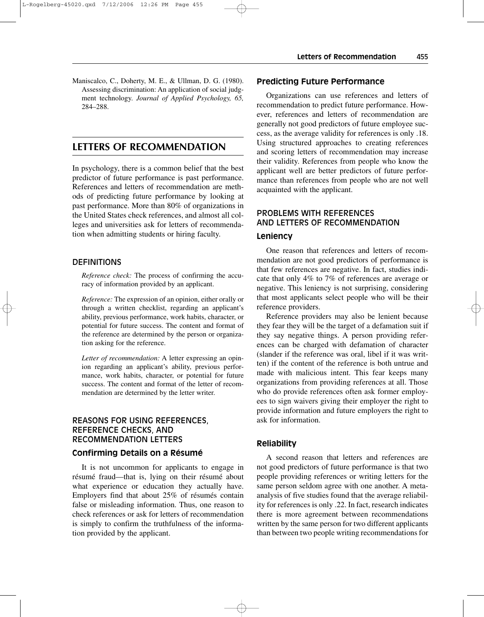#### Letters of Recommendation 455

Maniscalco, C., Doherty, M. E., & Ullman, D. G. (1980). Assessing discrimination: An application of social judgment technology. *Journal of Applied Psychology, 65,* 284–288.

# **LETTERS OF RECOMMENDATION**

In psychology, there is a common belief that the best predictor of future performance is past performance. References and letters of recommendation are methods of predicting future performance by looking at past performance. More than 80% of organizations in the United States check references, and almost all colleges and universities ask for letters of recommendation when admitting students or hiring faculty.

## DEFINITIONS

*Reference check:* The process of confirming the accuracy of information provided by an applicant.

*Reference:* The expression of an opinion, either orally or through a written checklist, regarding an applicant's ability, previous performance, work habits, character, or potential for future success. The content and format of the reference are determined by the person or organization asking for the reference.

*Letter of recommendation:* A letter expressing an opinion regarding an applicant's ability, previous performance, work habits, character, or potential for future success. The content and format of the letter of recommendation are determined by the letter writer.

## REASONS FOR USING REFERENCES, REFERENCE CHECKS, AND RECOMMENDATION LETTERS

#### **Confirming Details on a Résumé**

It is not uncommon for applicants to engage in résumé fraud—that is, lying on their résumé about what experience or education they actually have. Employers find that about 25% of résumés contain false or misleading information. Thus, one reason to check references or ask for letters of recommendation is simply to confirm the truthfulness of the information provided by the applicant.

#### **Predicting Future Performance**

Organizations can use references and letters of recommendation to predict future performance. However, references and letters of recommendation are generally not good predictors of future employee success, as the average validity for references is only .18. Using structured approaches to creating references and scoring letters of recommendation may increase their validity. References from people who know the applicant well are better predictors of future performance than references from people who are not well acquainted with the applicant.

# PROBLEMS WITH REFERENCES AND LETTERS OF RECOMMENDATION

## **Leniency**

One reason that references and letters of recommendation are not good predictors of performance is that few references are negative. In fact, studies indicate that only 4% to 7% of references are average or negative. This leniency is not surprising, considering that most applicants select people who will be their reference providers.

Reference providers may also be lenient because they fear they will be the target of a defamation suit if they say negative things. A person providing references can be charged with defamation of character (slander if the reference was oral, libel if it was written) if the content of the reference is both untrue and made with malicious intent. This fear keeps many organizations from providing references at all. Those who do provide references often ask former employees to sign waivers giving their employer the right to provide information and future employers the right to ask for information.

#### **Reliability**

A second reason that letters and references are not good predictors of future performance is that two people providing references or writing letters for the same person seldom agree with one another. A metaanalysis of five studies found that the average reliability for references is only .22. In fact, research indicates there is more agreement between recommendations written by the same person for two different applicants than between two people writing recommendations for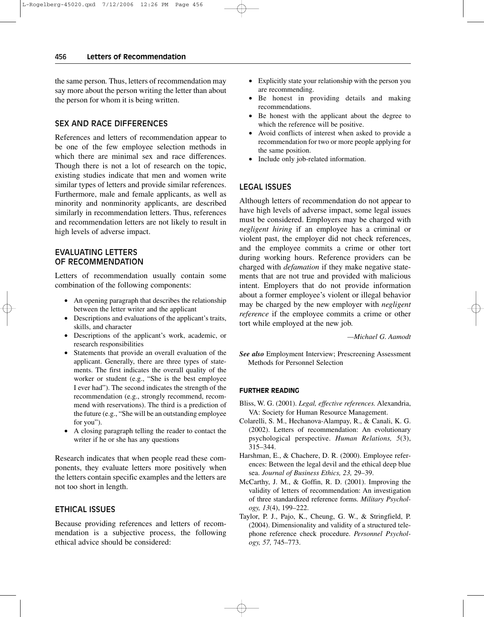the same person*.* Thus, letters of recommendation may say more about the person writing the letter than about the person for whom it is being written.

## SEX AND RACE DIFFERENCES

References and letters of recommendation appear to be one of the few employee selection methods in which there are minimal sex and race differences. Though there is not a lot of research on the topic, existing studies indicate that men and women write similar types of letters and provide similar references. Furthermore, male and female applicants, as well as minority and nonminority applicants, are described similarly in recommendation letters. Thus, references and recommendation letters are not likely to result in high levels of adverse impact.

# EVALUATING LETTERS OF RECOMMENDATION

Letters of recommendation usually contain some combination of the following components:

- An opening paragraph that describes the relationship between the letter writer and the applicant
- Descriptions and evaluations of the applicant's traits, skills, and character
- Descriptions of the applicant's work, academic, or research responsibilities
- Statements that provide an overall evaluation of the applicant. Generally, there are three types of statements. The first indicates the overall quality of the worker or student (e.g., "She is the best employee I ever had"). The second indicates the strength of the recommendation (e.g., strongly recommend, recommend with reservations). The third is a prediction of the future (e.g., "She will be an outstanding employee for you").
- A closing paragraph telling the reader to contact the writer if he or she has any questions

Research indicates that when people read these components, they evaluate letters more positively when the letters contain specific examples and the letters are not too short in length.

# ETHICAL ISSUES

Because providing references and letters of recommendation is a subjective process, the following ethical advice should be considered:

- Explicitly state your relationship with the person you are recommending.
- Be honest in providing details and making recommendations.
- Be honest with the applicant about the degree to which the reference will be positive.
- Avoid conflicts of interest when asked to provide a recommendation for two or more people applying for the same position.
- Include only job-related information.

#### LEGAL ISSUES

Although letters of recommendation do not appear to have high levels of adverse impact, some legal issues must be considered. Employers may be charged with *negligent hiring* if an employee has a criminal or violent past, the employer did not check references, and the employee commits a crime or other tort during working hours. Reference providers can be charged with *defamation* if they make negative statements that are not true and provided with malicious intent. Employers that do not provide information about a former employee's violent or illegal behavior may be charged by the new employer with *negligent reference* if the employee commits a crime or other tort while employed at the new job.

*—Michael G. Aamodt*

*See also* Employment Interview; Prescreening Assessment Methods for Personnel Selection

#### **FURTHER READING**

- Bliss, W. G. (2001). *Legal, effective references.* Alexandria, VA: Society for Human Resource Management.
- Colarelli, S. M., Hechanova-Alampay, R., & Canali, K. G. (2002). Letters of recommendation: An evolutionary psychological perspective. *Human Relations, 5*(3), 315–344.
- Harshman, E., & Chachere, D. R. (2000). Employee references: Between the legal devil and the ethical deep blue sea. *Journal of Business Ethics, 23,* 29–39.
- McCarthy, J. M., & Goffin, R. D. (2001). Improving the validity of letters of recommendation: An investigation of three standardized reference forms. *Military Psychology, 13*(4), 199–222.
- Taylor, P. J., Pajo, K., Cheung, G. W., & Stringfield, P. (2004). Dimensionality and validity of a structured telephone reference check procedure. *Personnel Psychology, 57,* 745–773.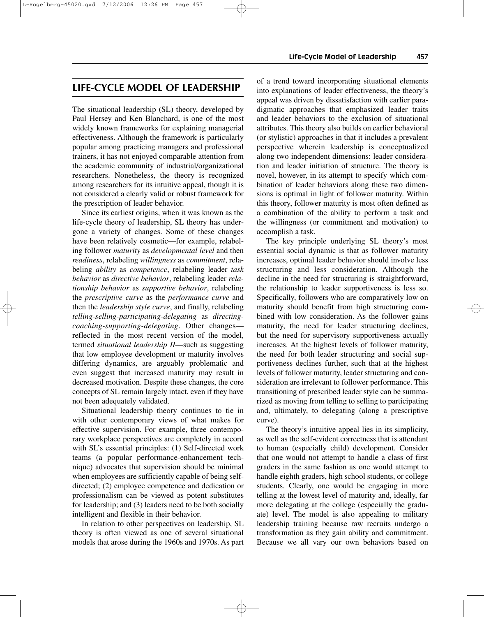# **LIFE-CYCLE MODEL OF LEADERSHIP**

The situational leadership (SL) theory, developed by Paul Hersey and Ken Blanchard, is one of the most widely known frameworks for explaining managerial effectiveness. Although the framework is particularly popular among practicing managers and professional trainers, it has not enjoyed comparable attention from the academic community of industrial/organizational researchers. Nonetheless, the theory is recognized among researchers for its intuitive appeal, though it is not considered a clearly valid or robust framework for the prescription of leader behavior.

Since its earliest origins, when it was known as the life-cycle theory of leadership, SL theory has undergone a variety of changes. Some of these changes have been relatively cosmetic—for example, relabeling follower *maturity* as *developmental level* and then *readiness*, relabeling *willingness* as *commitment*, relabeling *ability* as *competence*, relabeling leader *task behavior* as *directive behavior*, relabeling leader *relationship behavior* as *supportive behavior*, relabeling the *prescriptive curve* as the *performance curve* and then the *leadership style curve*, and finally, relabeling *telling-selling-participating-delegating* as *directingcoaching-supporting-delegating*. Other changes reflected in the most recent version of the model, termed *situational leadership II*—such as suggesting that low employee development or maturity involves differing dynamics, are arguably problematic and even suggest that increased maturity may result in decreased motivation. Despite these changes, the core concepts of SL remain largely intact, even if they have not been adequately validated.

Situational leadership theory continues to tie in with other contemporary views of what makes for effective supervision. For example, three contemporary workplace perspectives are completely in accord with SL's essential principles: (1) Self-directed work teams (a popular performance-enhancement technique) advocates that supervision should be minimal when employees are sufficiently capable of being selfdirected; (2) employee competence and dedication or professionalism can be viewed as potent substitutes for leadership; and (3) leaders need to be both socially intelligent and flexible in their behavior.

In relation to other perspectives on leadership, SL theory is often viewed as one of several situational models that arose during the 1960s and 1970s. As part

of a trend toward incorporating situational elements into explanations of leader effectiveness, the theory's appeal was driven by dissatisfaction with earlier paradigmatic approaches that emphasized leader traits and leader behaviors to the exclusion of situational attributes. This theory also builds on earlier behavioral (or stylistic) approaches in that it includes a prevalent perspective wherein leadership is conceptualized along two independent dimensions: leader consideration and leader initiation of structure. The theory is novel, however, in its attempt to specify which combination of leader behaviors along these two dimensions is optimal in light of follower maturity. Within this theory, follower maturity is most often defined as a combination of the ability to perform a task and the willingness (or commitment and motivation) to accomplish a task.

The key principle underlying SL theory's most essential social dynamic is that as follower maturity increases, optimal leader behavior should involve less structuring and less consideration. Although the decline in the need for structuring is straightforward, the relationship to leader supportiveness is less so. Specifically, followers who are comparatively low on maturity should benefit from high structuring combined with low consideration. As the follower gains maturity, the need for leader structuring declines, but the need for supervisory supportiveness actually increases. At the highest levels of follower maturity, the need for both leader structuring and social supportiveness declines further, such that at the highest levels of follower maturity, leader structuring and consideration are irrelevant to follower performance. This transitioning of prescribed leader style can be summarized as moving from telling to selling to participating and, ultimately, to delegating (along a prescriptive curve).

The theory's intuitive appeal lies in its simplicity, as well as the self-evident correctness that is attendant to human (especially child) development. Consider that one would not attempt to handle a class of first graders in the same fashion as one would attempt to handle eighth graders, high school students, or college students. Clearly, one would be engaging in more telling at the lowest level of maturity and, ideally, far more delegating at the college (especially the graduate) level. The model is also appealing to military leadership training because raw recruits undergo a transformation as they gain ability and commitment. Because we all vary our own behaviors based on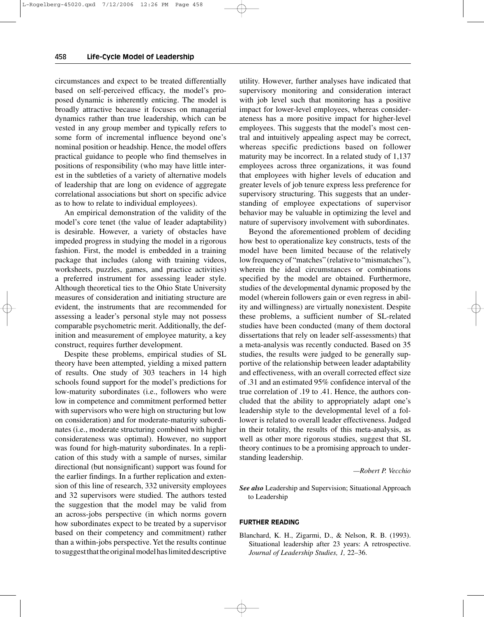#### 458———**Life-Cycle Model of Leadership**

circumstances and expect to be treated differentially based on self-perceived efficacy, the model's proposed dynamic is inherently enticing. The model is broadly attractive because it focuses on managerial dynamics rather than true leadership, which can be vested in any group member and typically refers to some form of incremental influence beyond one's nominal position or headship. Hence, the model offers practical guidance to people who find themselves in positions of responsibility (who may have little interest in the subtleties of a variety of alternative models of leadership that are long on evidence of aggregate correlational associations but short on specific advice as to how to relate to individual employees).

An empirical demonstration of the validity of the model's core tenet (the value of leader adaptability) is desirable. However, a variety of obstacles have impeded progress in studying the model in a rigorous fashion. First, the model is embedded in a training package that includes (along with training videos, worksheets, puzzles, games, and practice activities) a preferred instrument for assessing leader style. Although theoretical ties to the Ohio State University measures of consideration and initiating structure are evident, the instruments that are recommended for assessing a leader's personal style may not possess comparable psychometric merit. Additionally, the definition and measurement of employee maturity, a key construct, requires further development.

Despite these problems, empirical studies of SL theory have been attempted, yielding a mixed pattern of results. One study of 303 teachers in 14 high schools found support for the model's predictions for low-maturity subordinates (i.e., followers who were low in competence and commitment performed better with supervisors who were high on structuring but low on consideration) and for moderate-maturity subordinates (i.e., moderate structuring combined with higher considerateness was optimal). However, no support was found for high-maturity subordinates. In a replication of this study with a sample of nurses, similar directional (but nonsignificant) support was found for the earlier findings. In a further replication and extension of this line of research, 332 university employees and 32 supervisors were studied. The authors tested the suggestion that the model may be valid from an across-jobs perspective (in which norms govern how subordinates expect to be treated by a supervisor based on their competency and commitment) rather than a within-jobs perspective. Yet the results continue to suggest that the original model has limited descriptive utility. However, further analyses have indicated that supervisory monitoring and consideration interact with job level such that monitoring has a positive impact for lower-level employees, whereas considerateness has a more positive impact for higher-level employees. This suggests that the model's most central and intuitively appealing aspect may be correct, whereas specific predictions based on follower maturity may be incorrect. In a related study of 1,137 employees across three organizations, it was found that employees with higher levels of education and greater levels of job tenure express less preference for supervisory structuring. This suggests that an understanding of employee expectations of supervisor behavior may be valuable in optimizing the level and nature of supervisory involvement with subordinates.

Beyond the aforementioned problem of deciding how best to operationalize key constructs, tests of the model have been limited because of the relatively low frequency of "matches" (relative to "mismatches"), wherein the ideal circumstances or combinations specified by the model are obtained. Furthermore, studies of the developmental dynamic proposed by the model (wherein followers gain or even regress in ability and willingness) are virtually nonexistent. Despite these problems, a sufficient number of SL-related studies have been conducted (many of them doctoral dissertations that rely on leader self-assessments) that a meta-analysis was recently conducted. Based on 35 studies, the results were judged to be generally supportive of the relationship between leader adaptability and effectiveness, with an overall corrected effect size of .31 and an estimated 95% confidence interval of the true correlation of .19 to .41. Hence, the authors concluded that the ability to appropriately adapt one's leadership style to the developmental level of a follower is related to overall leader effectiveness. Judged in their totality, the results of this meta-analysis, as well as other more rigorous studies, suggest that SL theory continues to be a promising approach to understanding leadership.

*—Robert P. Vecchio*

*See also* Leadership and Supervision; Situational Approach to Leadership

#### **FURTHER READING**

Blanchard, K. H., Zigarmi, D., & Nelson, R. B. (1993). Situational leadership after 23 years: A retrospective. *Journal of Leadership Studies, 1,* 22–36.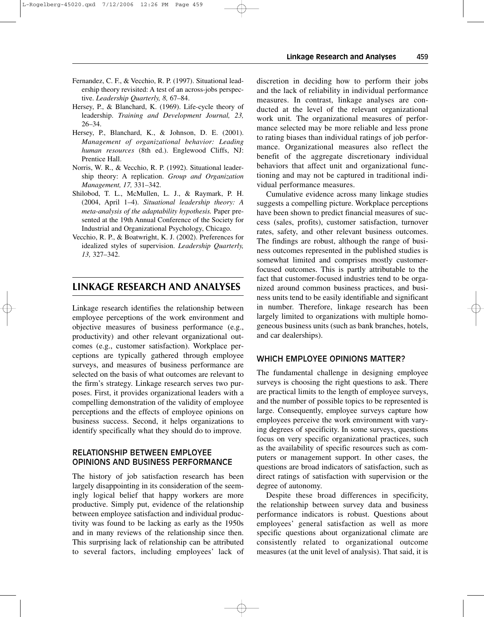L-Rogelberg-45020.qxd 7/12/2006 12:26 PM Page 459

- Fernandez, C. F., & Vecchio, R. P. (1997). Situational leadership theory revisited: A test of an across-jobs perspective. *Leadership Quarterly, 8,* 67–84.
- Hersey, P., & Blanchard, K. (1969). Life-cycle theory of leadership. *Training and Development Journal, 23,* 26–34.
- Hersey, P., Blanchard, K., & Johnson, D. E. (2001). *Management of organizational behavior: Leading human resources* (8th ed.). Englewood Cliffs, NJ: Prentice Hall.
- Norris, W. R., & Vecchio, R. P. (1992). Situational leadership theory: A replication. *Group and Organization Management, 17,* 331–342.
- Shilobod, T. L., McMullen, L. J., & Raymark, P. H. (2004, April 1–4). *Situational leadership theory: A meta-analysis of the adaptability hypothesis.* Paper presented at the 19th Annual Conference of the Society for Industrial and Organizational Psychology, Chicago.
- Vecchio, R. P., & Boatwright, K. J. (2002). Preferences for idealized styles of supervision. *Leadership Quarterly, 13,* 327–342.

# **LINKAGE RESEARCH AND ANALYSES**

Linkage research identifies the relationship between employee perceptions of the work environment and objective measures of business performance (e.g., productivity) and other relevant organizational outcomes (e.g., customer satisfaction). Workplace perceptions are typically gathered through employee surveys, and measures of business performance are selected on the basis of what outcomes are relevant to the firm's strategy. Linkage research serves two purposes. First, it provides organizational leaders with a compelling demonstration of the validity of employee perceptions and the effects of employee opinions on business success. Second, it helps organizations to identify specifically what they should do to improve.

# RELATIONSHIP BETWEEN EMPLOYEE OPINIONS AND BUSINESS PERFORMANCE

The history of job satisfaction research has been largely disappointing in its consideration of the seemingly logical belief that happy workers are more productive. Simply put, evidence of the relationship between employee satisfaction and individual productivity was found to be lacking as early as the 1950s and in many reviews of the relationship since then. This surprising lack of relationship can be attributed to several factors, including employees' lack of discretion in deciding how to perform their jobs and the lack of reliability in individual performance measures. In contrast, linkage analyses are conducted at the level of the relevant organizational work unit*.* The organizational measures of performance selected may be more reliable and less prone to rating biases than individual ratings of job performance. Organizational measures also reflect the benefit of the aggregate discretionary individual behaviors that affect unit and organizational functioning and may not be captured in traditional individual performance measures.

Cumulative evidence across many linkage studies suggests a compelling picture. Workplace perceptions have been shown to predict financial measures of success (sales, profits), customer satisfaction, turnover rates, safety, and other relevant business outcomes. The findings are robust, although the range of business outcomes represented in the published studies is somewhat limited and comprises mostly customerfocused outcomes. This is partly attributable to the fact that customer-focused industries tend to be organized around common business practices, and business units tend to be easily identifiable and significant in number. Therefore, linkage research has been largely limited to organizations with multiple homogeneous business units (such as bank branches, hotels, and car dealerships).

## WHICH EMPLOYEE OPINIONS MATTER?

The fundamental challenge in designing employee surveys is choosing the right questions to ask. There are practical limits to the length of employee surveys, and the number of possible topics to be represented is large. Consequently, employee surveys capture how employees perceive the work environment with varying degrees of specificity. In some surveys, questions focus on very specific organizational practices, such as the availability of specific resources such as computers or management support. In other cases, the questions are broad indicators of satisfaction, such as direct ratings of satisfaction with supervision or the degree of autonomy.

Despite these broad differences in specificity, the relationship between survey data and business performance indicators is robust. Questions about employees' general satisfaction as well as more specific questions about organizational climate are consistently related to organizational outcome measures (at the unit level of analysis). That said, it is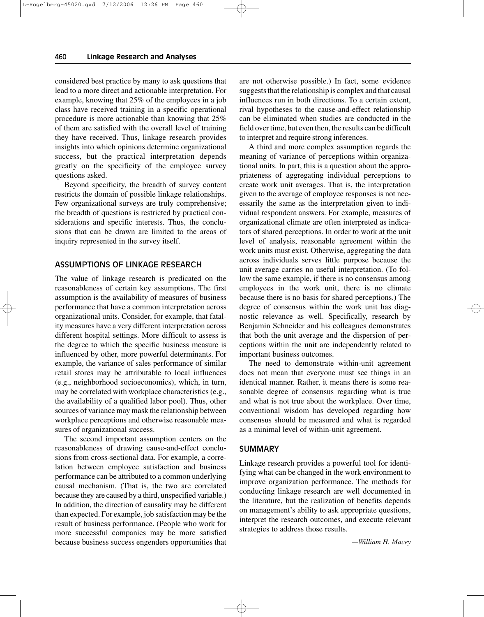#### 460———**Linkage Research and Analyses**

considered best practice by many to ask questions that lead to a more direct and actionable interpretation. For example, knowing that 25% of the employees in a job class have received training in a specific operational procedure is more actionable than knowing that 25% of them are satisfied with the overall level of training they have received. Thus, linkage research provides insights into which opinions determine organizational success, but the practical interpretation depends greatly on the specificity of the employee survey questions asked.

Beyond specificity, the breadth of survey content restricts the domain of possible linkage relationships. Few organizational surveys are truly comprehensive; the breadth of questions is restricted by practical considerations and specific interests. Thus, the conclusions that can be drawn are limited to the areas of inquiry represented in the survey itself.

## ASSUMPTIONS OF LINKAGE RESEARCH

The value of linkage research is predicated on the reasonableness of certain key assumptions. The first assumption is the availability of measures of business performance that have a common interpretation across organizational units. Consider, for example, that fatality measures have a very different interpretation across different hospital settings. More difficult to assess is the degree to which the specific business measure is influenced by other, more powerful determinants. For example, the variance of sales performance of similar retail stores may be attributable to local influences (e.g., neighborhood socioeconomics), which, in turn, may be correlated with workplace characteristics (e.g., the availability of a qualified labor pool). Thus, other sources of variance may mask the relationship between workplace perceptions and otherwise reasonable measures of organizational success.

The second important assumption centers on the reasonableness of drawing cause-and-effect conclusions from cross-sectional data. For example, a correlation between employee satisfaction and business performance can be attributed to a common underlying causal mechanism. (That is, the two are correlated because they are caused by a third, unspecified variable.) In addition, the direction of causality may be different than expected. For example, job satisfaction may be the result of business performance. (People who work for more successful companies may be more satisfied because business success engenders opportunities that are not otherwise possible.) In fact, some evidence suggests that the relationship is complex and that causal influences run in both directions. To a certain extent, rival hypotheses to the cause-and-effect relationship can be eliminated when studies are conducted in the field over time, but even then, the results can be difficult to interpret and require strong inferences.

A third and more complex assumption regards the meaning of variance of perceptions within organizational units. In part, this is a question about the appropriateness of aggregating individual perceptions to create work unit averages. That is, the interpretation given to the average of employee responses is not necessarily the same as the interpretation given to individual respondent answers. For example, measures of organizational climate are often interpreted as indicators of shared perceptions. In order to work at the unit level of analysis, reasonable agreement within the work units must exist. Otherwise, aggregating the data across individuals serves little purpose because the unit average carries no useful interpretation. (To follow the same example, if there is no consensus among employees in the work unit, there is no climate because there is no basis for shared perceptions.) The degree of consensus within the work unit has diagnostic relevance as well. Specifically, research by Benjamin Schneider and his colleagues demonstrates that both the unit average and the dispersion of perceptions within the unit are independently related to important business outcomes.

The need to demonstrate within-unit agreement does not mean that everyone must see things in an identical manner. Rather, it means there is some reasonable degree of consensus regarding what is true and what is not true about the workplace. Over time, conventional wisdom has developed regarding how consensus should be measured and what is regarded as a minimal level of within-unit agreement.

#### SUMMARY

Linkage research provides a powerful tool for identifying what can be changed in the work environment to improve organization performance. The methods for conducting linkage research are well documented in the literature, but the realization of benefits depends on management's ability to ask appropriate questions, interpret the research outcomes, and execute relevant strategies to address those results.

*—William H. Macey*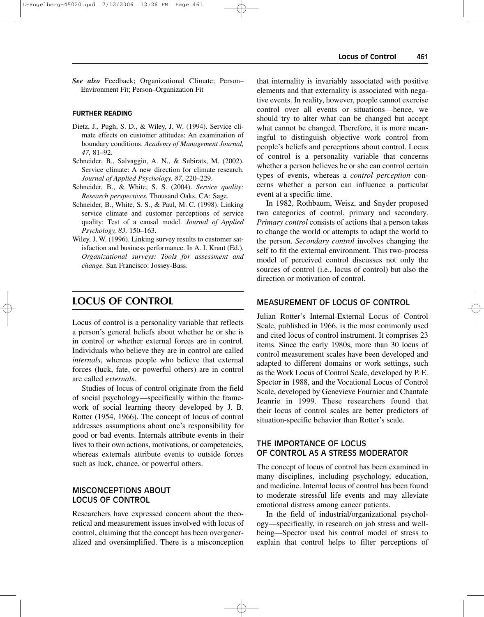L-Rogelberg-45020.qxd 7/12/2006 12:26 PM Page 461

*See also* Feedback; Organizational Climate; Person– Environment Fit; Person–Organization Fit

#### **FURTHER READING**

- Dietz, J., Pugh, S. D., & Wiley, J. W. (1994). Service climate effects on customer attitudes: An examination of boundary conditions. *Academy of Management Journal, 47,* 81–92.
- Schneider, B., Salvaggio, A. N., & Subirats, M. (2002). Service climate: A new direction for climate research. *Journal of Applied Psychology, 87,* 220–229.
- Schneider, B., & White, S. S. (2004). *Service quality: Research perspectives.* Thousand Oaks, CA: Sage.
- Schneider, B., White, S. S., & Paul, M. C. (1998). Linking service climate and customer perceptions of service quality: Test of a causal model. *Journal of Applied Psychology, 83,* 150–163.
- Wiley, J. W. (1996). Linking survey results to customer satisfaction and business performance. In A. I. Kraut (Ed.), *Organizational surveys: Tools for assessment and change.* San Francisco: Jossey-Bass.

# **LOCUS OF CONTROL**

Locus of control is a personality variable that reflects a person's general beliefs about whether he or she is in control or whether external forces are in control. Individuals who believe they are in control are called *internals*, whereas people who believe that external forces (luck, fate, or powerful others) are in control are called *externals*.

Studies of locus of control originate from the field of social psychology—specifically within the framework of social learning theory developed by J. B. Rotter (1954, 1966). The concept of locus of control addresses assumptions about one's responsibility for good or bad events. Internals attribute events in their lives to their own actions, motivations, or competencies, whereas externals attribute events to outside forces such as luck, chance, or powerful others.

# MISCONCEPTIONS ABOUT LOCUS OF CONTROL

Researchers have expressed concern about the theoretical and measurement issues involved with locus of control, claiming that the concept has been overgeneralized and oversimplified. There is a misconception

that internality is invariably associated with positive elements and that externality is associated with negative events. In reality, however, people cannot exercise control over all events or situations—hence, we should try to alter what can be changed but accept what cannot be changed. Therefore, it is more meaningful to distinguish objective work control from people's beliefs and perceptions about control. Locus of control is a personality variable that concerns whether a person believes he or she can control certain types of events, whereas a *control perception* concerns whether a person can influence a particular event at a specific time.

In 1982, Rothbaum, Weisz, and Snyder proposed two categories of control, primary and secondary. *Primary control* consists of actions that a person takes to change the world or attempts to adapt the world to the person. *Secondary control* involves changing the self to fit the external environment. This two-process model of perceived control discusses not only the sources of control (i.e., locus of control) but also the direction or motivation of control.

## MEASUREMENT OF LOCUS OF CONTROL

Julian Rotter's Internal-External Locus of Control Scale, published in 1966, is the most commonly used and cited locus of control instrument. It comprises 23 items. Since the early 1980s, more than 30 locus of control measurement scales have been developed and adapted to different domains or work settings, such as the Work Locus of Control Scale, developed by P. E. Spector in 1988, and the Vocational Locus of Control Scale, developed by Genevieve Fournier and Chantale Jeanrie in 1999. These researchers found that their locus of control scales are better predictors of situation-specific behavior than Rotter's scale.

## THE IMPORTANCE OF LOCUS OF CONTROL AS A STRESS MODERATOR

The concept of locus of control has been examined in many disciplines, including psychology, education, and medicine. Internal locus of control has been found to moderate stressful life events and may alleviate emotional distress among cancer patients.

In the field of industrial/organizational psychology—specifically, in research on job stress and wellbeing—Spector used his control model of stress to explain that control helps to filter perceptions of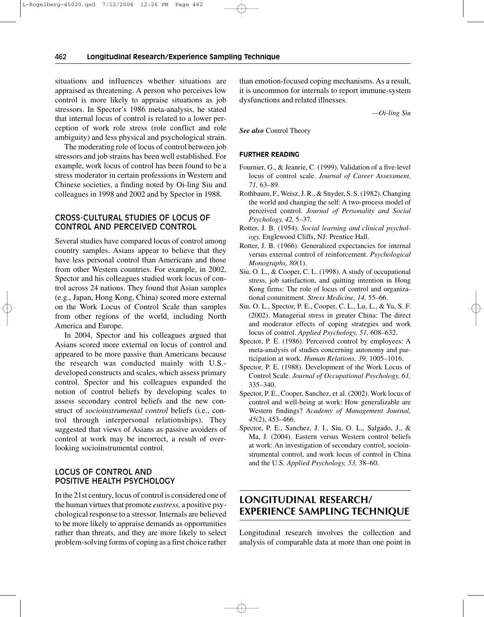#### 462———**Longitudinal Research/Experience Sampling Technique**

situations and influences whether situations are appraised as threatening. A person who perceives low control is more likely to appraise situations as job stressors. In Spector's 1986 meta-analysis, he stated that internal locus of control is related to a lower perception of work role stress (role conflict and role ambiguity) and less physical and psychological strain.

The moderating role of locus of control between job stressors and job strains has been well established. For example, work locus of control has been found to be a stress moderator in certain professions in Western and Chinese societies, a finding noted by Oi-ling Siu and colleagues in 1998 and 2002 and by Spector in 1988.

# CROSS-CULTURAL STUDIES OF LOCUS OF CONTROL AND PERCEIVED CONTROL

Several studies have compared locus of control among country samples. Asians appear to believe that they have less personal control than Americans and those from other Western countries. For example, in 2002, Spector and his colleagues studied work locus of control across 24 nations. They found that Asian samples (e.g., Japan, Hong Kong, China) scored more external on the Work Locus of Control Scale than samples from other regions of the world, including North America and Europe.

In 2004, Spector and his colleagues argued that Asians scored more external on locus of control and appeared to be more passive than Americans because the research was conducted mainly with U.S. developed constructs and scales, which assess primary control. Spector and his colleagues expanded the notion of control beliefs by developing scales to assess secondary control beliefs and the new construct of *socioinstrumental control* beliefs (i.e., control through interpersonal relationships). They suggested that views of Asians as passive avoiders of control at work may be incorrect, a result of overlooking socioinstrumental control.

# LOCUS OF CONTROL AND POSITIVE HEALTH PSYCHOLOGY

In the 21st century, locus of control is considered one of the human virtues that promote *eustress,* a positive psychological response to a stressor. Internals are believed to be more likely to appraise demands as opportunities rather than threats, and they are more likely to select problem-solving forms of coping as a first choice rather than emotion-focused coping mechanisms. As a result, it is uncommon for internals to report immune-system dysfunctions and related illnesses.

*—Oi-ling Siu*

*See also* Control Theory

# **FURTHER READING**

- Fournier, G., & Jeanrie, C. (1999). Validation of a five-level locus of control scale. *Journal of Career Assessment, 71,* 63–89.
- Rothbaum, F., Weisz, J. R., & Snyder, S. S. (1982). Changing the world and changing the self: A two-process model of perceived control. *Journal of Personality and Social Psychology, 42,* 5–37.
- Rotter, J. B. (1954). *Social learning and clinical psychology.* Englewood Cliffs, NJ: Prentice Hall.
- Rotter, J. B. (1966). Generalized expectancies for internal versus external control of reinforcement. *Psychological Monographs, 80*(1).
- Siu, O. L., & Cooper, C. L. (1998). A study of occupational stress, job satisfaction, and quitting intention in Hong Kong firms: The role of locus of control and organizational commitment. *Stress Medicine, 14,* 55–66.
- Siu, O. L., Spector, P. E., Cooper, C. L., Lu, L., & Yu, S. F. (2002). Managerial stress in greater China: The direct and moderator effects of coping strategies and work locus of control. *Applied Psychology, 51,* 608–632.
- Spector, P. E. (1986). Perceived control by employees: A meta-analysis of studies concerning autonomy and participation at work. *Human Relations, 39,* 1005–1016.
- Spector, P. E. (1988). Development of the Work Locus of Control Scale. *Journal of Occupational Psychology, 61,* 335–340.
- Spector, P. E., Cooper, Sanchez, et al. (2002). Work locus of control and well-being at work: How generalizable are Western findings? *Academy of Management Journal, 45*(2), 453–466.
- Spector, P. E., Sanchez, J. I., Siu, O. L., Salgado, J., & Ma, J. (2004). Eastern versus Western control beliefs at work: An investigation of secondary control, socioinstrumental control, and work locus of control in China and the U.S. *Applied Psychology, 53,* 38–60.

# **LONGITUDINAL RESEARCH/ EXPERIENCE SAMPLING TECHNIQUE**

Longitudinal research involves the collection and analysis of comparable data at more than one point in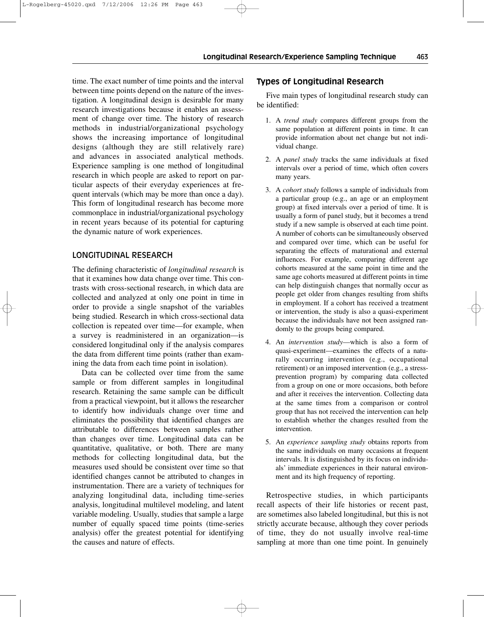time. The exact number of time points and the interval between time points depend on the nature of the investigation. A longitudinal design is desirable for many research investigations because it enables an assessment of change over time. The history of research methods in industrial/organizational psychology shows the increasing importance of longitudinal designs (although they are still relatively rare) and advances in associated analytical methods. Experience sampling is one method of longitudinal research in which people are asked to report on particular aspects of their everyday experiences at frequent intervals (which may be more than once a day). This form of longitudinal research has become more commonplace in industrial/organizational psychology in recent years because of its potential for capturing the dynamic nature of work experiences.

## LONGITUDINAL RESEARCH

The defining characteristic of *longitudinal research* is that it examines how data change over time. This contrasts with cross-sectional research, in which data are collected and analyzed at only one point in time in order to provide a single snapshot of the variables being studied. Research in which cross-sectional data collection is repeated over time—for example, when a survey is readministered in an organization—is considered longitudinal only if the analysis compares the data from different time points (rather than examining the data from each time point in isolation).

Data can be collected over time from the same sample or from different samples in longitudinal research. Retaining the same sample can be difficult from a practical viewpoint, but it allows the researcher to identify how individuals change over time and eliminates the possibility that identified changes are attributable to differences between samples rather than changes over time. Longitudinal data can be quantitative, qualitative, or both. There are many methods for collecting longitudinal data, but the measures used should be consistent over time so that identified changes cannot be attributed to changes in instrumentation. There are a variety of techniques for analyzing longitudinal data, including time-series analysis, longitudinal multilevel modeling, and latent variable modeling. Usually, studies that sample a large number of equally spaced time points (time-series analysis) offer the greatest potential for identifying the causes and nature of effects.

## **Types of Longitudinal Research**

Five main types of longitudinal research study can be identified:

- 1. A *trend study* compares different groups from the same population at different points in time. It can provide information about net change but not individual change.
- 2. A *panel study* tracks the same individuals at fixed intervals over a period of time, which often covers many years.
- 3. A *cohort study* follows a sample of individuals from a particular group (e.g., an age or an employment group) at fixed intervals over a period of time. It is usually a form of panel study, but it becomes a trend study if a new sample is observed at each time point. A number of cohorts can be simultaneously observed and compared over time, which can be useful for separating the effects of maturational and external influences. For example, comparing different age cohorts measured at the same point in time and the same age cohorts measured at different points in time can help distinguish changes that normally occur as people get older from changes resulting from shifts in employment. If a cohort has received a treatment or intervention, the study is also a quasi-experiment because the individuals have not been assigned randomly to the groups being compared.
- 4. An *intervention study*—which is also a form of quasi-experiment—examines the effects of a naturally occurring intervention (e.g., occupational retirement) or an imposed intervention (e.g., a stressprevention program) by comparing data collected from a group on one or more occasions, both before and after it receives the intervention. Collecting data at the same times from a comparison or control group that has not received the intervention can help to establish whether the changes resulted from the intervention.
- 5. An *experience sampling study* obtains reports from the same individuals on many occasions at frequent intervals. It is distinguished by its focus on individuals' immediate experiences in their natural environment and its high frequency of reporting.

Retrospective studies, in which participants recall aspects of their life histories or recent past, are sometimes also labeled longitudinal, but this is not strictly accurate because, although they cover periods of time, they do not usually involve real-time sampling at more than one time point. In genuinely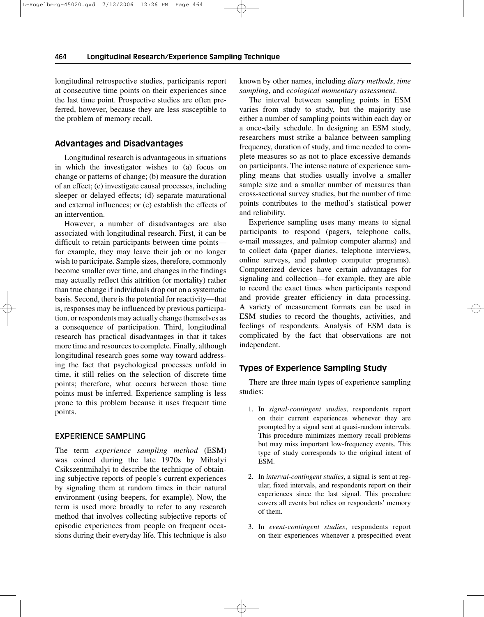#### 464———**Longitudinal Research/Experience Sampling Technique**

longitudinal retrospective studies, participants report at consecutive time points on their experiences since the last time point. Prospective studies are often preferred, however, because they are less susceptible to the problem of memory recall.

#### **Advantages and Disadvantages**

Longitudinal research is advantageous in situations in which the investigator wishes to (a) focus on change or patterns of change; (b) measure the duration of an effect; (c) investigate causal processes, including sleeper or delayed effects; (d) separate maturational and external influences; or (e) establish the effects of an intervention.

However, a number of disadvantages are also associated with longitudinal research. First, it can be difficult to retain participants between time points for example, they may leave their job or no longer wish to participate. Sample sizes, therefore, commonly become smaller over time, and changes in the findings may actually reflect this attrition (or mortality) rather than true change if individuals drop out on a systematic basis. Second, there is the potential for reactivity—that is, responses may be influenced by previous participation, or respondents may actually change themselves as a consequence of participation. Third, longitudinal research has practical disadvantages in that it takes more time and resources to complete. Finally, although longitudinal research goes some way toward addressing the fact that psychological processes unfold in time, it still relies on the selection of discrete time points; therefore, what occurs between those time points must be inferred. Experience sampling is less prone to this problem because it uses frequent time points.

#### EXPERIENCE SAMPLING

The term *experience sampling method* (ESM) was coined during the late 1970s by Mihalyi Csikszentmihalyi to describe the technique of obtaining subjective reports of people's current experiences by signaling them at random times in their natural environment (using beepers, for example). Now, the term is used more broadly to refer to any research method that involves collecting subjective reports of episodic experiences from people on frequent occasions during their everyday life. This technique is also known by other names, including *diary methods*, *time sampling*, and *ecological momentary assessment*.

The interval between sampling points in ESM varies from study to study, but the majority use either a number of sampling points within each day or a once-daily schedule. In designing an ESM study, researchers must strike a balance between sampling frequency, duration of study, and time needed to complete measures so as not to place excessive demands on participants. The intense nature of experience sampling means that studies usually involve a smaller sample size and a smaller number of measures than cross-sectional survey studies, but the number of time points contributes to the method's statistical power and reliability.

Experience sampling uses many means to signal participants to respond (pagers, telephone calls, e-mail messages, and palmtop computer alarms) and to collect data (paper diaries, telephone interviews, online surveys, and palmtop computer programs). Computerized devices have certain advantages for signaling and collection—for example, they are able to record the exact times when participants respond and provide greater efficiency in data processing. A variety of measurement formats can be used in ESM studies to record the thoughts, activities, and feelings of respondents. Analysis of ESM data is complicated by the fact that observations are not independent.

## **Types of Experience Sampling Study**

There are three main types of experience sampling studies:

- 1. In *signal-contingent studies*, respondents report on their current experiences whenever they are prompted by a signal sent at quasi-random intervals. This procedure minimizes memory recall problems but may miss important low-frequency events. This type of study corresponds to the original intent of ESM.
- 2. In *interval-contingent studies*, a signal is sent at regular, fixed intervals, and respondents report on their experiences since the last signal. This procedure covers all events but relies on respondents' memory of them.
- 3. In *event-contingent studies*, respondents report on their experiences whenever a prespecified event